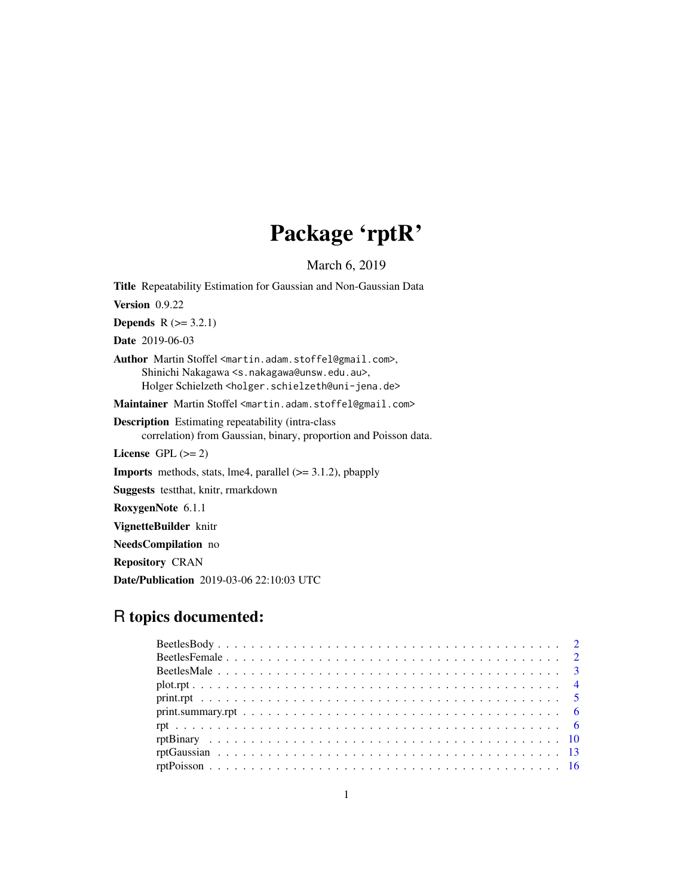# Package 'rptR'

March 6, 2019

<span id="page-0-0"></span>Title Repeatability Estimation for Gaussian and Non-Gaussian Data Version 0.9.22 **Depends**  $R$  ( $>= 3.2.1$ ) Date 2019-06-03 Author Martin Stoffel <martin.adam.stoffel@gmail.com>, Shinichi Nakagawa <s.nakagawa@unsw.edu.au>, Holger Schielzeth <holger.schielzeth@uni-jena.de> Maintainer Martin Stoffel <martin.adam.stoffel@gmail.com> Description Estimating repeatability (intra-class correlation) from Gaussian, binary, proportion and Poisson data. License GPL  $(>= 2)$ Imports methods, stats, lme4, parallel (>= 3.1.2), pbapply Suggests testthat, knitr, rmarkdown RoxygenNote 6.1.1 VignetteBuilder knitr NeedsCompilation no Repository CRAN

# R topics documented:

Date/Publication 2019-03-06 22:10:03 UTC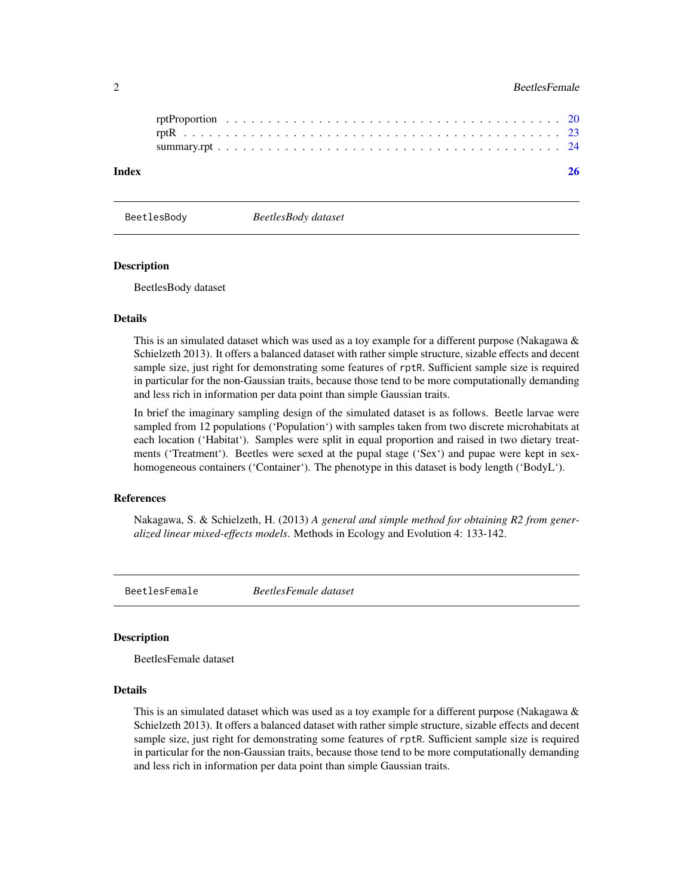# <span id="page-1-0"></span>2 BeetlesFemale

| Index |  |  |  |  |  |  |  |  |  |  |  |  |  |  |  |  |  |  |  |  |
|-------|--|--|--|--|--|--|--|--|--|--|--|--|--|--|--|--|--|--|--|--|
|       |  |  |  |  |  |  |  |  |  |  |  |  |  |  |  |  |  |  |  |  |
|       |  |  |  |  |  |  |  |  |  |  |  |  |  |  |  |  |  |  |  |  |

BeetlesBody *BeetlesBody dataset*

#### Description

BeetlesBody dataset

#### Details

This is an simulated dataset which was used as a toy example for a different purpose (Nakagawa  $\&$ Schielzeth 2013). It offers a balanced dataset with rather simple structure, sizable effects and decent sample size, just right for demonstrating some features of rptR. Sufficient sample size is required in particular for the non-Gaussian traits, because those tend to be more computationally demanding and less rich in information per data point than simple Gaussian traits.

In brief the imaginary sampling design of the simulated dataset is as follows. Beetle larvae were sampled from 12 populations ('Population') with samples taken from two discrete microhabitats at each location ('Habitat'). Samples were split in equal proportion and raised in two dietary treatments ('Treatment'). Beetles were sexed at the pupal stage ('Sex') and pupae were kept in sexhomogeneous containers ('Container'). The phenotype in this dataset is body length ('BodyL').

#### References

Nakagawa, S. & Schielzeth, H. (2013) *A general and simple method for obtaining R2 from generalized linear mixed-effects models*. Methods in Ecology and Evolution 4: 133-142.

BeetlesFemale *BeetlesFemale dataset*

#### Description

BeetlesFemale dataset

# Details

This is an simulated dataset which was used as a toy example for a different purpose (Nakagawa  $\&$ Schielzeth 2013). It offers a balanced dataset with rather simple structure, sizable effects and decent sample size, just right for demonstrating some features of rptR. Sufficient sample size is required in particular for the non-Gaussian traits, because those tend to be more computationally demanding and less rich in information per data point than simple Gaussian traits.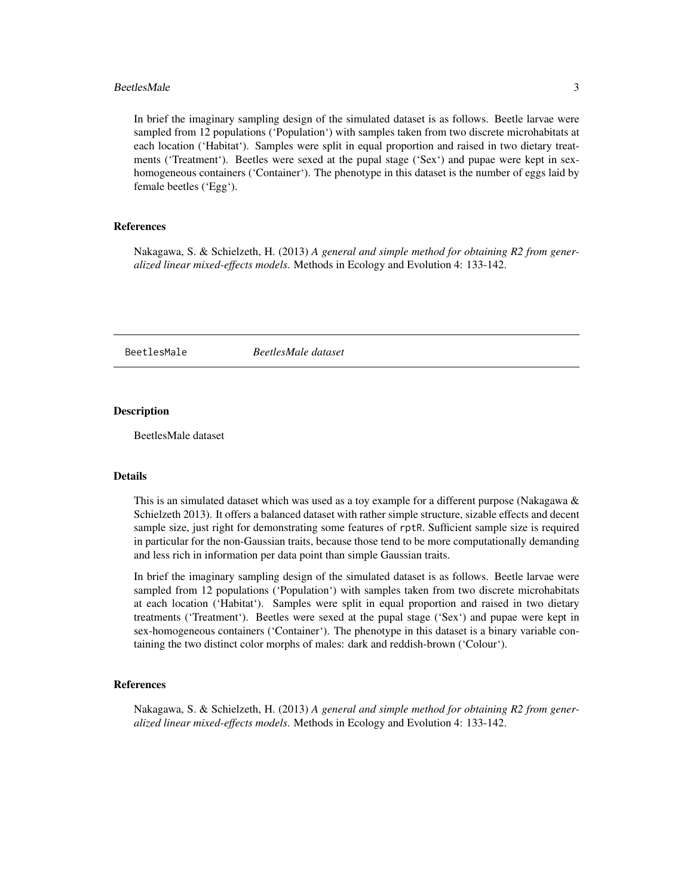#### <span id="page-2-0"></span>BeetlesMale 3

In brief the imaginary sampling design of the simulated dataset is as follows. Beetle larvae were sampled from 12 populations ('Population') with samples taken from two discrete microhabitats at each location ('Habitat'). Samples were split in equal proportion and raised in two dietary treatments ('Treatment'). Beetles were sexed at the pupal stage ('Sex') and pupae were kept in sexhomogeneous containers ('Container'). The phenotype in this dataset is the number of eggs laid by female beetles ('Egg').

#### References

Nakagawa, S. & Schielzeth, H. (2013) *A general and simple method for obtaining R2 from generalized linear mixed-effects models*. Methods in Ecology and Evolution 4: 133-142.

BeetlesMale *BeetlesMale dataset*

#### Description

BeetlesMale dataset

# **Details**

This is an simulated dataset which was used as a toy example for a different purpose (Nakagawa  $\&$ Schielzeth 2013). It offers a balanced dataset with rather simple structure, sizable effects and decent sample size, just right for demonstrating some features of rptR. Sufficient sample size is required in particular for the non-Gaussian traits, because those tend to be more computationally demanding and less rich in information per data point than simple Gaussian traits.

In brief the imaginary sampling design of the simulated dataset is as follows. Beetle larvae were sampled from 12 populations ('Population') with samples taken from two discrete microhabitats at each location ('Habitat'). Samples were split in equal proportion and raised in two dietary treatments ('Treatment'). Beetles were sexed at the pupal stage ('Sex') and pupae were kept in sex-homogeneous containers ('Container'). The phenotype in this dataset is a binary variable containing the two distinct color morphs of males: dark and reddish-brown ('Colour').

#### References

Nakagawa, S. & Schielzeth, H. (2013) *A general and simple method for obtaining R2 from generalized linear mixed-effects models*. Methods in Ecology and Evolution 4: 133-142.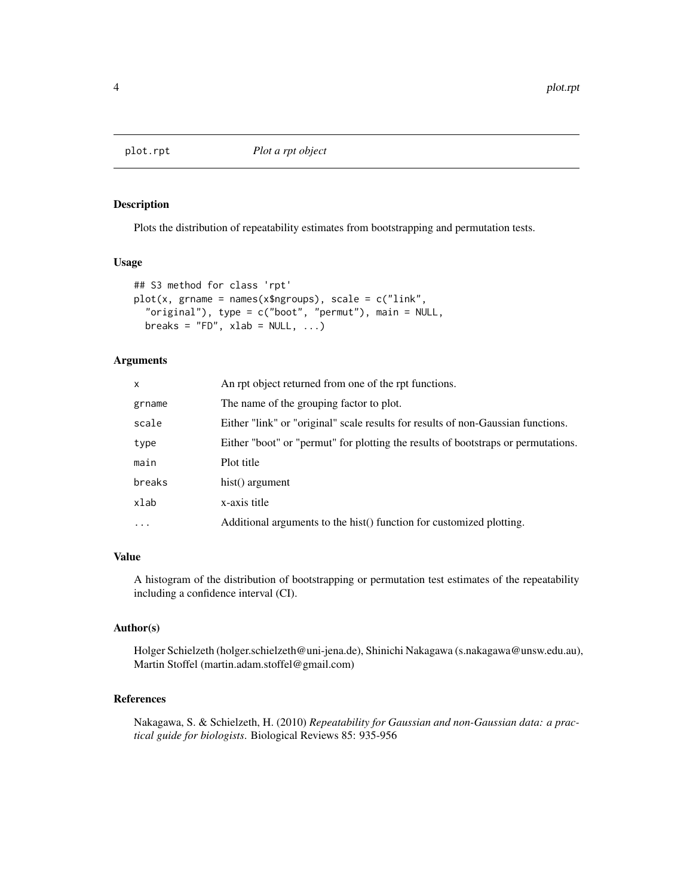<span id="page-3-1"></span><span id="page-3-0"></span>

# Description

Plots the distribution of repeatability estimates from bootstrapping and permutation tests.

#### Usage

```
## S3 method for class 'rpt'
plot(x, grname = names(x$ngroups), scale = c("link",
  "original"), type = c("boot", "permut"), main = NULL,
 breaks = "FD", xlab = NULL, ...)
```
# Arguments

| x        | An rpt object returned from one of the rpt functions.                             |
|----------|-----------------------------------------------------------------------------------|
| grname   | The name of the grouping factor to plot.                                          |
| scale    | Either "link" or "original" scale results for results of non-Gaussian functions.  |
| type     | Either "boot" or "permut" for plotting the results of bootstraps or permutations. |
| main     | Plot title                                                                        |
| breaks   | hist() argument                                                                   |
| xlab     | x-axis title                                                                      |
| $\cdots$ | Additional arguments to the hist() function for customized plotting.              |

# Value

A histogram of the distribution of bootstrapping or permutation test estimates of the repeatability including a confidence interval (CI).

# Author(s)

Holger Schielzeth (holger.schielzeth@uni-jena.de), Shinichi Nakagawa (s.nakagawa@unsw.edu.au), Martin Stoffel (martin.adam.stoffel@gmail.com)

# References

Nakagawa, S. & Schielzeth, H. (2010) *Repeatability for Gaussian and non-Gaussian data: a practical guide for biologists*. Biological Reviews 85: 935-956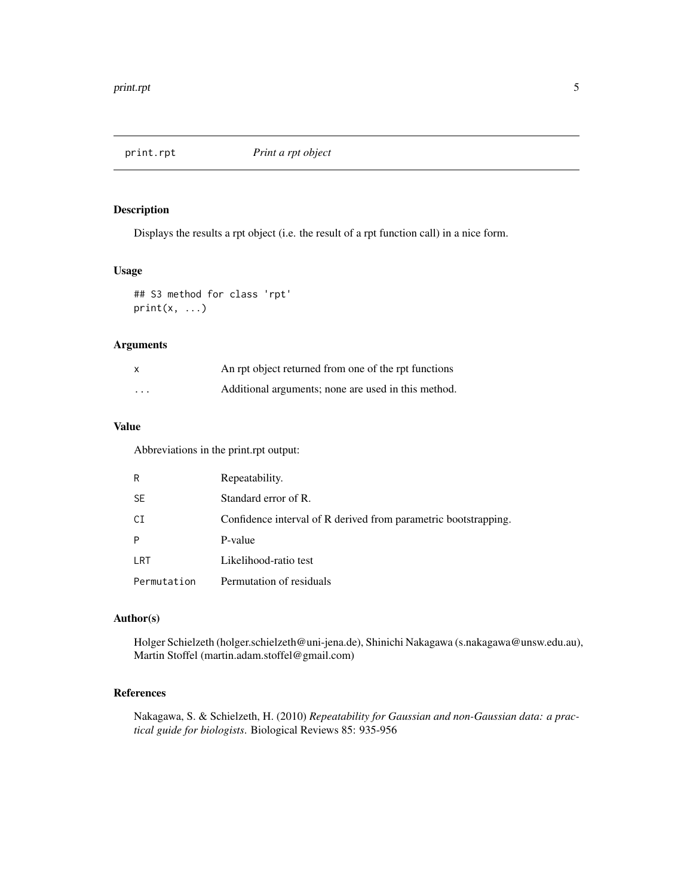<span id="page-4-0"></span>

# Description

Displays the results a rpt object (i.e. the result of a rpt function call) in a nice form.

#### Usage

```
## S3 method for class 'rpt'
print(x, \ldots)
```
# Arguments

| $\mathsf{x}$ | An rpt object returned from one of the rpt functions |
|--------------|------------------------------------------------------|
| $\cdot$      | Additional arguments; none are used in this method.  |

# Value

Abbreviations in the print.rpt output:

| R           | Repeatability.                                                  |
|-------------|-----------------------------------------------------------------|
| <b>SE</b>   | Standard error of R.                                            |
| CI          | Confidence interval of R derived from parametric bootstrapping. |
| P           | P-value                                                         |
| LRT         | Likelihood-ratio test                                           |
| Permutation | Permutation of residuals                                        |

# Author(s)

Holger Schielzeth (holger.schielzeth@uni-jena.de), Shinichi Nakagawa (s.nakagawa@unsw.edu.au), Martin Stoffel (martin.adam.stoffel@gmail.com)

# References

Nakagawa, S. & Schielzeth, H. (2010) *Repeatability for Gaussian and non-Gaussian data: a practical guide for biologists*. Biological Reviews 85: 935-956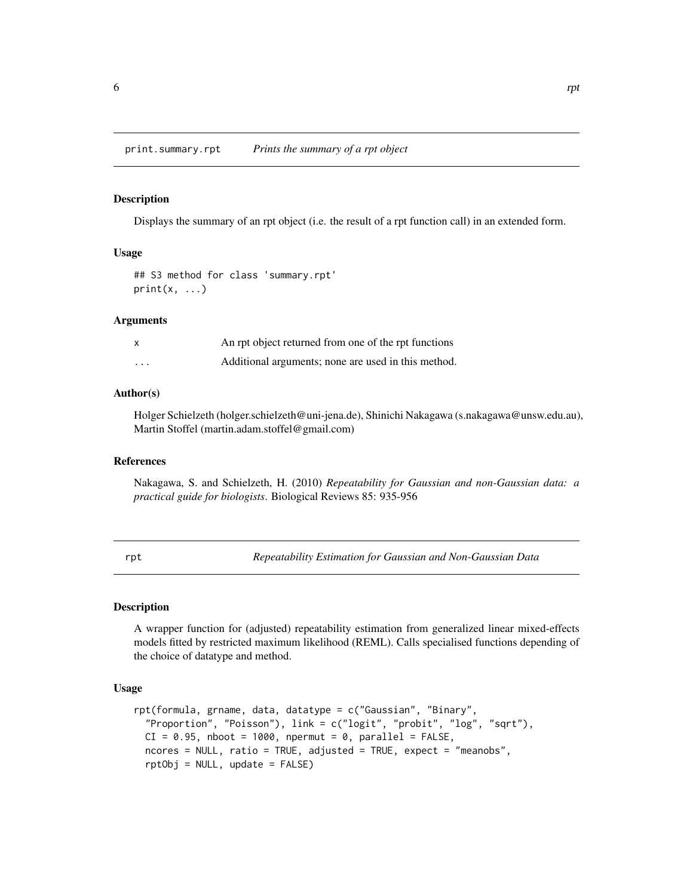<span id="page-5-0"></span>print.summary.rpt *Prints the summary of a rpt object*

#### Description

Displays the summary of an rpt object (i.e. the result of a rpt function call) in an extended form.

#### Usage

```
## S3 method for class 'summary.rpt'
print(x, \ldots)
```
#### Arguments

|          | An rpt object returned from one of the rpt functions |
|----------|------------------------------------------------------|
| $\cdots$ | Additional arguments; none are used in this method.  |

#### Author(s)

Holger Schielzeth (holger.schielzeth@uni-jena.de), Shinichi Nakagawa (s.nakagawa@unsw.edu.au), Martin Stoffel (martin.adam.stoffel@gmail.com)

#### References

Nakagawa, S. and Schielzeth, H. (2010) *Repeatability for Gaussian and non-Gaussian data: a practical guide for biologists*. Biological Reviews 85: 935-956

<span id="page-5-1"></span>rpt *Repeatability Estimation for Gaussian and Non-Gaussian Data*

### Description

A wrapper function for (adjusted) repeatability estimation from generalized linear mixed-effects models fitted by restricted maximum likelihood (REML). Calls specialised functions depending of the choice of datatype and method.

#### Usage

```
rpt(formula, grname, data, datatype = c("Gaussian", "Binary",
 "Proportion", "Poisson"), link = c("logit", "probit", "log", "sqrt"),
 CI = 0.95, nboot = 1000, npermut = 0, parallel = FALSE,
 ncores = NULL, ratio = TRUE, adjusted = TRUE, expect = "meanobs",
 rptObj = NULL, update = FALSE)
```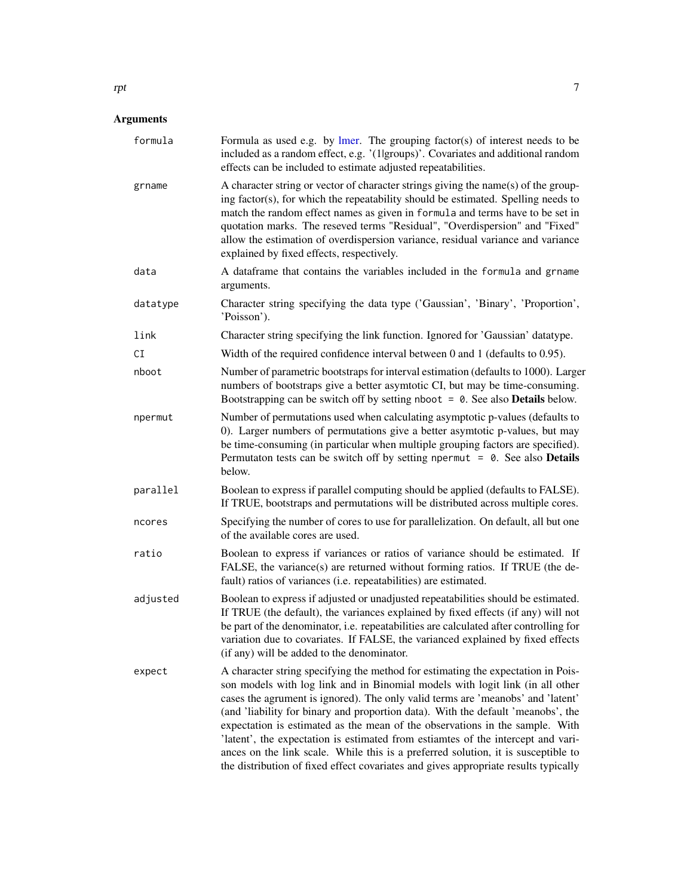<span id="page-6-0"></span>

| formula  | Formula as used e.g. by $l$ mer. The grouping factor(s) of interest needs to be<br>included as a random effect, e.g. '(1 groups)'. Covariates and additional random<br>effects can be included to estimate adjusted repeatabilities.                                                                                                                                                                                                                                                                                                                                                                                                                                                     |
|----------|------------------------------------------------------------------------------------------------------------------------------------------------------------------------------------------------------------------------------------------------------------------------------------------------------------------------------------------------------------------------------------------------------------------------------------------------------------------------------------------------------------------------------------------------------------------------------------------------------------------------------------------------------------------------------------------|
| grname   | A character string or vector of character strings giving the name(s) of the group-<br>ing factor(s), for which the repeatability should be estimated. Spelling needs to<br>match the random effect names as given in formula and terms have to be set in<br>quotation marks. The reseved terms "Residual", "Overdispersion" and "Fixed"<br>allow the estimation of overdispersion variance, residual variance and variance<br>explained by fixed effects, respectively.                                                                                                                                                                                                                  |
| data     | A dataframe that contains the variables included in the formula and grname<br>arguments.                                                                                                                                                                                                                                                                                                                                                                                                                                                                                                                                                                                                 |
| datatype | Character string specifying the data type ('Gaussian', 'Binary', 'Proportion',<br>'Poisson').                                                                                                                                                                                                                                                                                                                                                                                                                                                                                                                                                                                            |
| link     | Character string specifying the link function. Ignored for 'Gaussian' datatype.                                                                                                                                                                                                                                                                                                                                                                                                                                                                                                                                                                                                          |
| СI       | Width of the required confidence interval between $0$ and $1$ (defaults to $0.95$ ).                                                                                                                                                                                                                                                                                                                                                                                                                                                                                                                                                                                                     |
| nboot    | Number of parametric bootstraps for interval estimation (defaults to 1000). Larger<br>numbers of bootstraps give a better asymtotic CI, but may be time-consuming.<br>Bootstrapping can be switch off by setting nboot $= 0$ . See also <b>Details</b> below.                                                                                                                                                                                                                                                                                                                                                                                                                            |
| npermut  | Number of permutations used when calculating asymptotic p-values (defaults to<br>0). Larger numbers of permutations give a better asymtotic p-values, but may<br>be time-consuming (in particular when multiple grouping factors are specified).<br>Permutaton tests can be switch off by setting npermut = $0$ . See also <b>Details</b><br>below.                                                                                                                                                                                                                                                                                                                                      |
| parallel | Boolean to express if parallel computing should be applied (defaults to FALSE).<br>If TRUE, bootstraps and permutations will be distributed across multiple cores.                                                                                                                                                                                                                                                                                                                                                                                                                                                                                                                       |
| ncores   | Specifying the number of cores to use for parallelization. On default, all but one<br>of the available cores are used.                                                                                                                                                                                                                                                                                                                                                                                                                                                                                                                                                                   |
| ratio    | Boolean to express if variances or ratios of variance should be estimated. If<br>FALSE, the variance(s) are returned without forming ratios. If TRUE (the de-<br>fault) ratios of variances (i.e. repeatabilities) are estimated.                                                                                                                                                                                                                                                                                                                                                                                                                                                        |
| adjusted | Boolean to express if adjusted or unadjusted repeatabilities should be estimated.<br>If TRUE (the default), the variances explained by fixed effects (if any) will not<br>be part of the denominator, i.e. repeatabilities are calculated after controlling for<br>variation due to covariates. If FALSE, the varianced explained by fixed effects<br>(if any) will be added to the denominator.                                                                                                                                                                                                                                                                                         |
| expect   | A character string specifying the method for estimating the expectation in Pois-<br>son models with log link and in Binomial models with logit link (in all other<br>cases the agrument is ignored). The only valid terms are 'meanobs' and 'latent'<br>(and 'liability for binary and proportion data). With the default 'meanobs', the<br>expectation is estimated as the mean of the observations in the sample. With<br>'latent', the expectation is estimated from estiamtes of the intercept and vari-<br>ances on the link scale. While this is a preferred solution, it is susceptible to<br>the distribution of fixed effect covariates and gives appropriate results typically |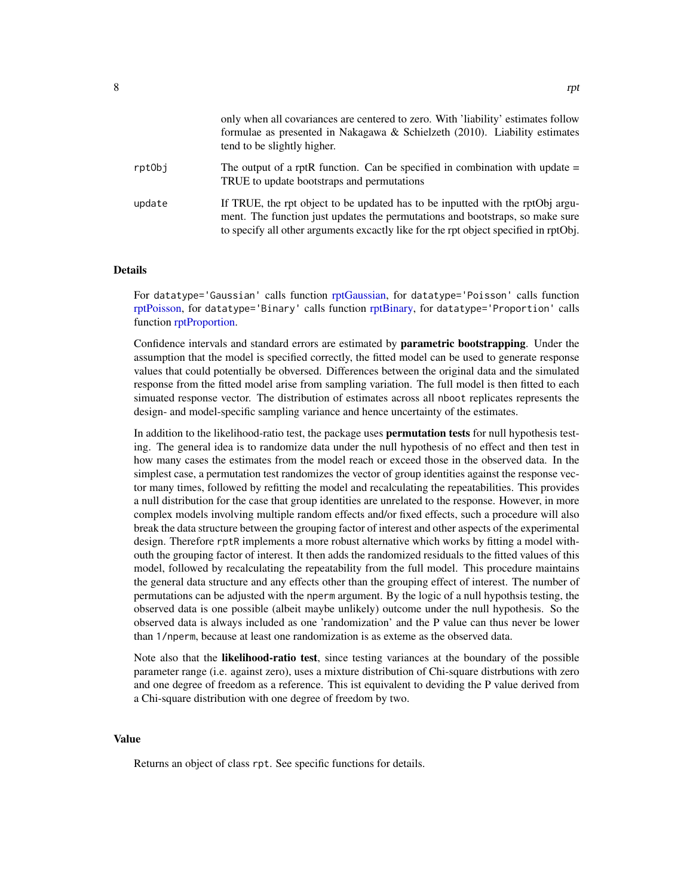<span id="page-7-0"></span>

|        | only when all covariances are centered to zero. With 'liability' estimates follow<br>formulae as presented in Nakagawa & Schielzeth $(2010)$ . Liability estimates<br>tend to be slightly higher.                                                       |
|--------|---------------------------------------------------------------------------------------------------------------------------------------------------------------------------------------------------------------------------------------------------------|
| rptObj | The output of a rptR function. Can be specified in combination with update $=$<br>TRUE to update bootstraps and permutations                                                                                                                            |
| update | If TRUE, the rpt object to be updated has to be inputted with the rptObj argu-<br>ment. The function just updates the permutations and bootstraps, so make sure<br>to specify all other arguments excactly like for the rpt object specified in rptObj. |

# **Details**

For datatype='Gaussian' calls function [rptGaussian,](#page-12-1) for datatype='Poisson' calls function [rptPoisson,](#page-15-1) for datatype='Binary' calls function [rptBinary,](#page-9-1) for datatype='Proportion' calls function [rptProportion.](#page-19-1)

Confidence intervals and standard errors are estimated by **parametric bootstrapping**. Under the assumption that the model is specified correctly, the fitted model can be used to generate response values that could potentially be obversed. Differences between the original data and the simulated response from the fitted model arise from sampling variation. The full model is then fitted to each simuated response vector. The distribution of estimates across all nboot replicates represents the design- and model-specific sampling variance and hence uncertainty of the estimates.

In addition to the likelihood-ratio test, the package uses **permutation tests** for null hypothesis testing. The general idea is to randomize data under the null hypothesis of no effect and then test in how many cases the estimates from the model reach or exceed those in the observed data. In the simplest case, a permutation test randomizes the vector of group identities against the response vector many times, followed by refitting the model and recalculating the repeatabilities. This provides a null distribution for the case that group identities are unrelated to the response. However, in more complex models involving multiple random effects and/or fixed effects, such a procedure will also break the data structure between the grouping factor of interest and other aspects of the experimental design. Therefore rptR implements a more robust alternative which works by fitting a model withouth the grouping factor of interest. It then adds the randomized residuals to the fitted values of this model, followed by recalculating the repeatability from the full model. This procedure maintains the general data structure and any effects other than the grouping effect of interest. The number of permutations can be adjusted with the nperm argument. By the logic of a null hypothsis testing, the observed data is one possible (albeit maybe unlikely) outcome under the null hypothesis. So the observed data is always included as one 'randomization' and the P value can thus never be lower than 1/nperm, because at least one randomization is as exteme as the observed data.

Note also that the likelihood-ratio test, since testing variances at the boundary of the possible parameter range (i.e. against zero), uses a mixture distribution of Chi-square distrbutions with zero and one degree of freedom as a reference. This ist equivalent to deviding the P value derived from a Chi-square distribution with one degree of freedom by two.

#### Value

Returns an object of class rpt. See specific functions for details.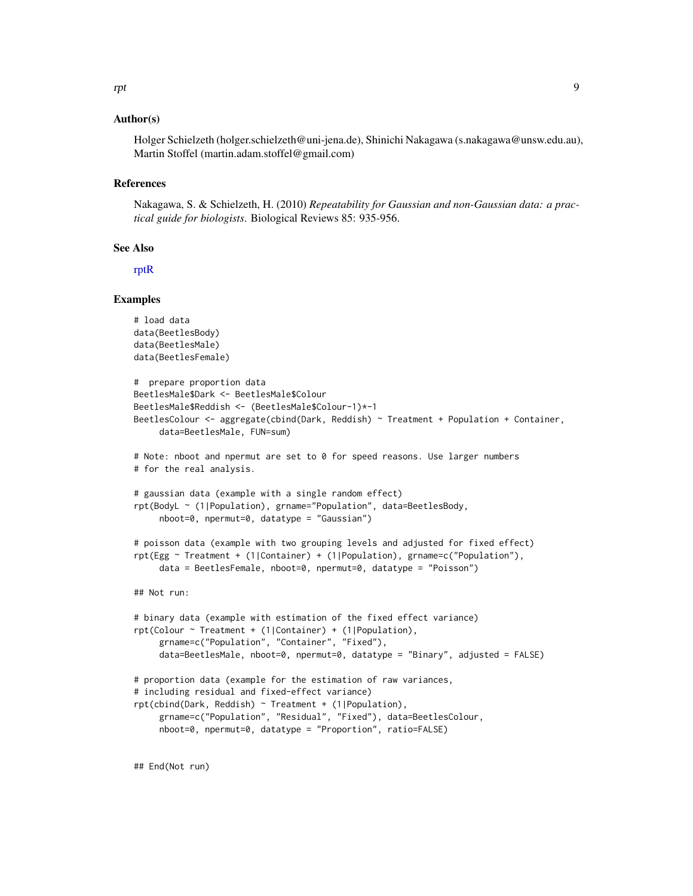#### <span id="page-8-0"></span>Author(s)

Holger Schielzeth (holger.schielzeth@uni-jena.de), Shinichi Nakagawa (s.nakagawa@unsw.edu.au), Martin Stoffel (martin.adam.stoffel@gmail.com)

#### References

Nakagawa, S. & Schielzeth, H. (2010) *Repeatability for Gaussian and non-Gaussian data: a practical guide for biologists*. Biological Reviews 85: 935-956.

# See Also

[rptR](#page-22-1)

#### Examples

```
# load data
data(BeetlesBody)
data(BeetlesMale)
data(BeetlesFemale)
# prepare proportion data
BeetlesMale$Dark <- BeetlesMale$Colour
BeetlesMale$Reddish <- (BeetlesMale$Colour-1)*-1
BeetlesColour <- aggregate(cbind(Dark, Reddish) ~ Treatment + Population + Container,
     data=BeetlesMale, FUN=sum)
# Note: nboot and npermut are set to 0 for speed reasons. Use larger numbers
# for the real analysis.
# gaussian data (example with a single random effect)
rpt(BodyL ~ (1|Population), grname="Population", data=BeetlesBody,
     nboot=0, npermut=0, datatype = "Gaussian")
# poisson data (example with two grouping levels and adjusted for fixed effect)
rpt(Egg ~ Treatment + (1|Container) + (1|Population), grname=c("Population"),
     data = BeetlesFemale, nboot=0, npermut=0, datatype = "Poisson")
## Not run:
# binary data (example with estimation of the fixed effect variance)
rpt(Colour ~ Treatment + (1|Container) + (1|Population),
     grname=c("Population", "Container", "Fixed"),
     data=BeetlesMale, nboot=0, npermut=0, datatype = "Binary", adjusted = FALSE)
# proportion data (example for the estimation of raw variances,
# including residual and fixed-effect variance)
rpt(cbind(Dark, Reddish) ~ Treatment + (1|Population),
     grname=c("Population", "Residual", "Fixed"), data=BeetlesColour,
     nboot=0, npermut=0, datatype = "Proportion", ratio=FALSE)
```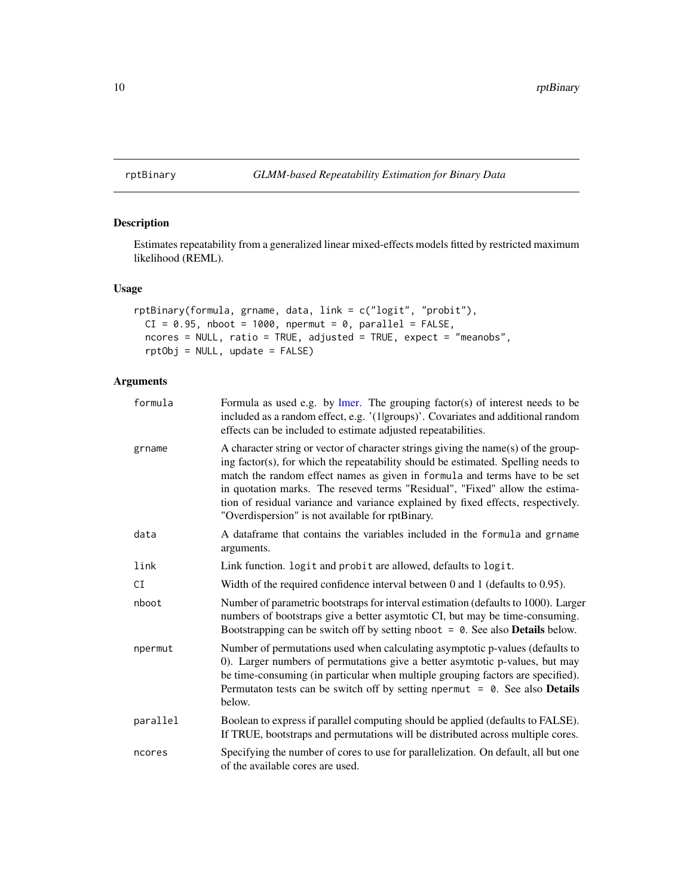<span id="page-9-1"></span><span id="page-9-0"></span>rptBinary *GLMM-based Repeatability Estimation for Binary Data*

# Description

Estimates repeatability from a generalized linear mixed-effects models fitted by restricted maximum likelihood (REML).

### Usage

```
rptBinary(formula, grname, data, link = c("logit", "probit"),
 CI = 0.95, nboot = 1000, npermut = 0, parallel = FALSE,
 ncores = NULL, ratio = TRUE, adjusted = TRUE, expect = "meanobs",
 rptObj = NULL, update = FALSE)
```

| formula  | Formula as used e.g. by $l$ mer. The grouping factor(s) of interest needs to be<br>included as a random effect, e.g. '(1 groups)'. Covariates and additional random<br>effects can be included to estimate adjusted repeatabilities.                                                                                                                                                                                                                                         |
|----------|------------------------------------------------------------------------------------------------------------------------------------------------------------------------------------------------------------------------------------------------------------------------------------------------------------------------------------------------------------------------------------------------------------------------------------------------------------------------------|
| grname   | A character string or vector of character strings giving the name(s) of the group-<br>ing factor(s), for which the repeatability should be estimated. Spelling needs to<br>match the random effect names as given in formula and terms have to be set<br>in quotation marks. The reseved terms "Residual", "Fixed" allow the estima-<br>tion of residual variance and variance explained by fixed effects, respectively.<br>"Overdispersion" is not available for rptBinary. |
| data     | A dataframe that contains the variables included in the formula and grname<br>arguments.                                                                                                                                                                                                                                                                                                                                                                                     |
| link     | Link function. Logit and probit are allowed, defaults to logit.                                                                                                                                                                                                                                                                                                                                                                                                              |
| CI       | Width of the required confidence interval between $0$ and $1$ (defaults to $0.95$ ).                                                                                                                                                                                                                                                                                                                                                                                         |
| nboot    | Number of parametric bootstraps for interval estimation (defaults to 1000). Larger<br>numbers of bootstraps give a better asymtotic CI, but may be time-consuming.<br>Bootstrapping can be switch off by setting nboot $= 0$ . See also <b>Details</b> below.                                                                                                                                                                                                                |
| npermut  | Number of permutations used when calculating asymptotic p-values (defaults to<br>0). Larger numbers of permutations give a better asymtotic p-values, but may<br>be time-consuming (in particular when multiple grouping factors are specified).<br>Permutaton tests can be switch off by setting npermut $= 0$ . See also <b>Details</b><br>below.                                                                                                                          |
| parallel | Boolean to express if parallel computing should be applied (defaults to FALSE).<br>If TRUE, bootstraps and permutations will be distributed across multiple cores.                                                                                                                                                                                                                                                                                                           |
| ncores   | Specifying the number of cores to use for parallelization. On default, all but one<br>of the available cores are used.                                                                                                                                                                                                                                                                                                                                                       |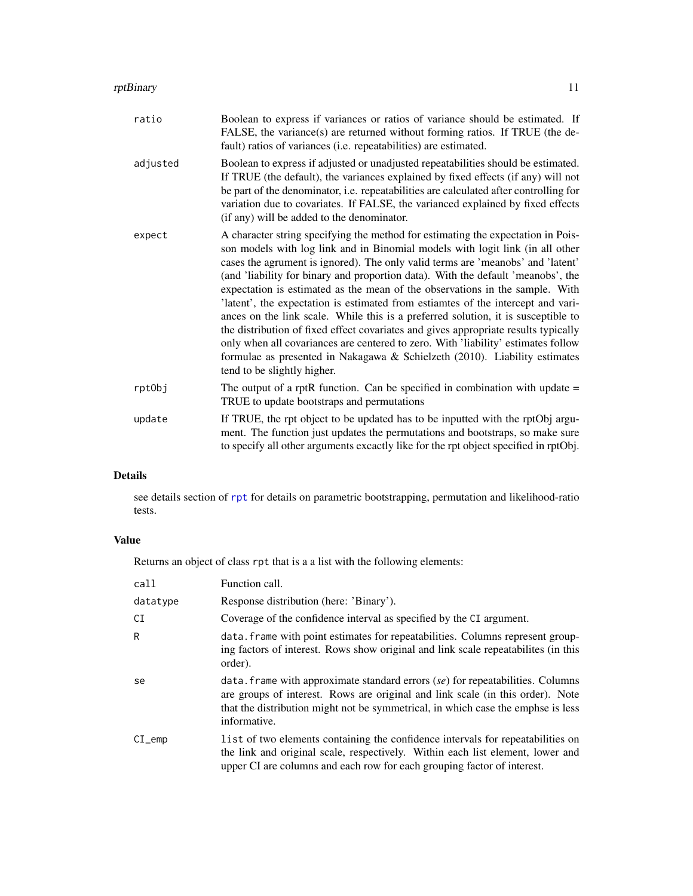#### <span id="page-10-0"></span>rptBinary 11

|          | FALSE, the variance(s) are returned without forming ratios. If TRUE (the de-<br>fault) ratios of variances (i.e. repeatabilities) are estimated.                                                                                                                                                                                                                                                                                                                                                                                                                                                                                                                                                                                                                                                                                                                                              |
|----------|-----------------------------------------------------------------------------------------------------------------------------------------------------------------------------------------------------------------------------------------------------------------------------------------------------------------------------------------------------------------------------------------------------------------------------------------------------------------------------------------------------------------------------------------------------------------------------------------------------------------------------------------------------------------------------------------------------------------------------------------------------------------------------------------------------------------------------------------------------------------------------------------------|
| adjusted | Boolean to express if adjusted or unadjusted repeatabilities should be estimated.<br>If TRUE (the default), the variances explained by fixed effects (if any) will not<br>be part of the denominator, i.e. repeatabilities are calculated after controlling for<br>variation due to covariates. If FALSE, the varianced explained by fixed effects<br>(if any) will be added to the denominator.                                                                                                                                                                                                                                                                                                                                                                                                                                                                                              |
| expect   | A character string specifying the method for estimating the expectation in Pois-<br>son models with log link and in Binomial models with logit link (in all other<br>cases the agrument is ignored). The only valid terms are 'meanobs' and 'latent'<br>(and 'liability for binary and proportion data). With the default 'meanobs', the<br>expectation is estimated as the mean of the observations in the sample. With<br>'latent', the expectation is estimated from estiamtes of the intercept and vari-<br>ances on the link scale. While this is a preferred solution, it is susceptible to<br>the distribution of fixed effect covariates and gives appropriate results typically<br>only when all covariances are centered to zero. With 'liability' estimates follow<br>formulae as presented in Nakagawa & Schielzeth $(2010)$ . Liability estimates<br>tend to be slightly higher. |
| rptObj   | The output of a rptR function. Can be specified in combination with update $=$<br>TRUE to update bootstraps and permutations                                                                                                                                                                                                                                                                                                                                                                                                                                                                                                                                                                                                                                                                                                                                                                  |
| update   | If TRUE, the rpt object to be updated has to be inputted with the rptObj argu-<br>ment. The function just updates the permutations and bootstraps, so make sure<br>to specify all other arguments excactly like for the rpt object specified in rptObj.                                                                                                                                                                                                                                                                                                                                                                                                                                                                                                                                                                                                                                       |

# Details

see details section of [rpt](#page-5-1) for details on parametric bootstrapping, permutation and likelihood-ratio tests.

### Value

Returns an object of class rpt that is a a list with the following elements:

| call          | Function call.                                                                                                                                                                                                                                                         |
|---------------|------------------------------------------------------------------------------------------------------------------------------------------------------------------------------------------------------------------------------------------------------------------------|
| datatype      | Response distribution (here: 'Binary').                                                                                                                                                                                                                                |
| CI            | Coverage of the confidence interval as specified by the CI argument.                                                                                                                                                                                                   |
| R             | data. frame with point estimates for repeatabilities. Columns represent group-<br>ing factors of interest. Rows show original and link scale repeatabilities (in this<br>order).                                                                                       |
| se            | data. Frame with approximate standard errors $(se)$ for repeatabilities. Columns<br>are groups of interest. Rows are original and link scale (in this order). Note<br>that the distribution might not be symmetrical, in which case the emphse is less<br>informative. |
| $CI$ $_{emp}$ | l ist of two elements containing the confidence intervals for repeatabilities on<br>the link and original scale, respectively. Within each list element, lower and<br>upper CI are columns and each row for each grouping factor of interest.                          |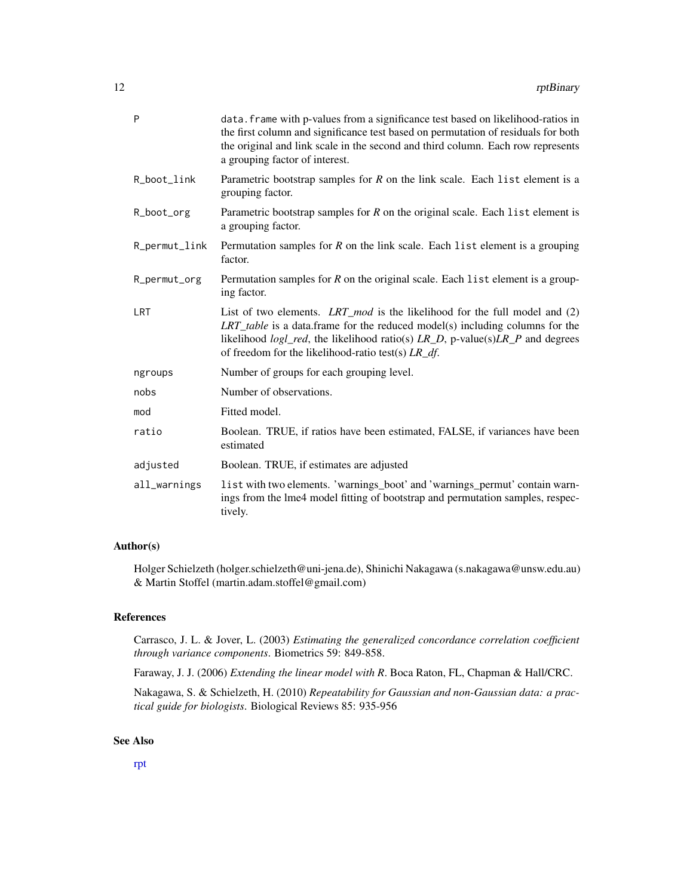<span id="page-11-0"></span>

| P             | data. frame with p-values from a significance test based on likelihood-ratios in<br>the first column and significance test based on permutation of residuals for both<br>the original and link scale in the second and third column. Each row represents<br>a grouping factor of interest.                             |
|---------------|------------------------------------------------------------------------------------------------------------------------------------------------------------------------------------------------------------------------------------------------------------------------------------------------------------------------|
| R_boot_link   | Parametric bootstrap samples for $R$ on the link scale. Each list element is a<br>grouping factor.                                                                                                                                                                                                                     |
| R_boot_org    | Parametric bootstrap samples for $R$ on the original scale. Each list element is<br>a grouping factor.                                                                                                                                                                                                                 |
| R_permut_link | Permutation samples for $R$ on the link scale. Each list element is a grouping<br>factor.                                                                                                                                                                                                                              |
| R_permut_org  | Permutation samples for $R$ on the original scale. Each list element is a group-<br>ing factor.                                                                                                                                                                                                                        |
| <b>LRT</b>    | List of two elements. LRT_mod is the likelihood for the full model and $(2)$<br>$LRT\_table$ is a data.frame for the reduced model(s) including columns for the<br>likelihood $logl\_red$ , the likelihood ratio(s) $LR\_D$ , p-value(s) $LR\_P$ and degrees<br>of freedom for the likelihood-ratio test(s) $LR_d f$ . |
| ngroups       | Number of groups for each grouping level.                                                                                                                                                                                                                                                                              |
| nobs          | Number of observations.                                                                                                                                                                                                                                                                                                |
| mod           | Fitted model.                                                                                                                                                                                                                                                                                                          |
| ratio         | Boolean. TRUE, if ratios have been estimated, FALSE, if variances have been<br>estimated                                                                                                                                                                                                                               |
| adjusted      | Boolean. TRUE, if estimates are adjusted                                                                                                                                                                                                                                                                               |
| all_warnings  | list with two elements. 'warnings_boot' and 'warnings_permut' contain warn-<br>ings from the lme4 model fitting of bootstrap and permutation samples, respec-<br>tively.                                                                                                                                               |

#### Author(s)

Holger Schielzeth (holger.schielzeth@uni-jena.de), Shinichi Nakagawa (s.nakagawa@unsw.edu.au) & Martin Stoffel (martin.adam.stoffel@gmail.com)

# References

Carrasco, J. L. & Jover, L. (2003) *Estimating the generalized concordance correlation coefficient through variance components*. Biometrics 59: 849-858.

Faraway, J. J. (2006) *Extending the linear model with R*. Boca Raton, FL, Chapman & Hall/CRC.

Nakagawa, S. & Schielzeth, H. (2010) *Repeatability for Gaussian and non-Gaussian data: a practical guide for biologists*. Biological Reviews 85: 935-956

# See Also

[rpt](#page-5-1)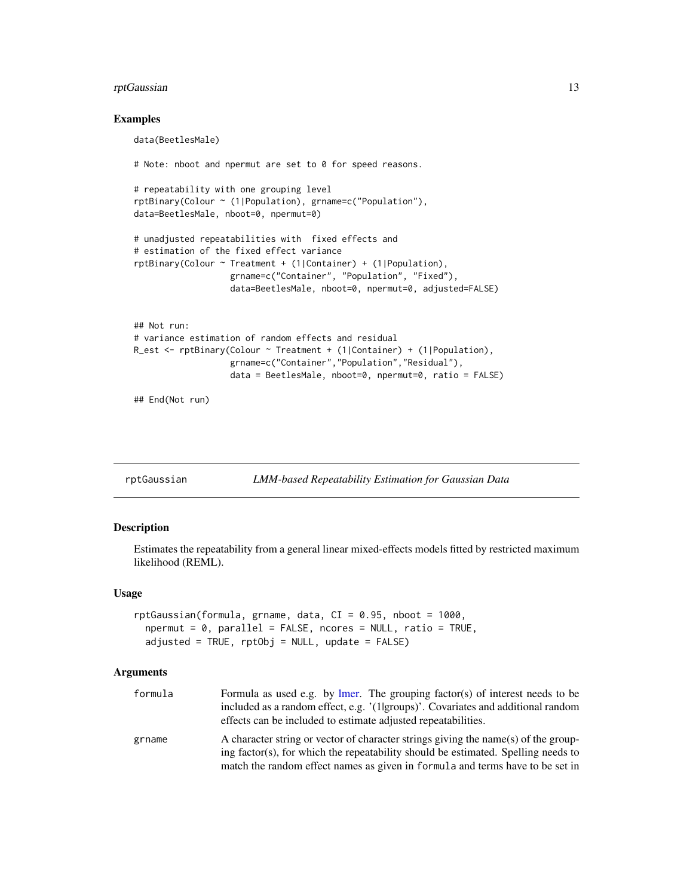# <span id="page-12-0"></span>rptGaussian 13

#### Examples

data(BeetlesMale) # Note: nboot and npermut are set to 0 for speed reasons. # repeatability with one grouping level rptBinary(Colour ~ (1|Population), grname=c("Population"), data=BeetlesMale, nboot=0, npermut=0) # unadjusted repeatabilities with fixed effects and # estimation of the fixed effect variance rptBinary(Colour ~ Treatment + (1|Container) + (1|Population), grname=c("Container", "Population", "Fixed"), data=BeetlesMale, nboot=0, npermut=0, adjusted=FALSE) ## Not run: # variance estimation of random effects and residual R\_est <- rptBinary(Colour ~ Treatment + (1|Container) + (1|Population),

```
## End(Not run)
```
<span id="page-12-1"></span>rptGaussian *LMM-based Repeatability Estimation for Gaussian Data*

grname=c("Container","Population","Residual"),

data = BeetlesMale, nboot=0, npermut=0, ratio = FALSE)

#### Description

Estimates the repeatability from a general linear mixed-effects models fitted by restricted maximum likelihood (REML).

#### Usage

```
rptGaussian(formula, grname, data, CI = 0.95, nboot = 1000,
  npermut = 0, parallel = FALSE, ncores = NULL, ratio = TRUE,
  adjusted = TRUE, rptObj = NULL, update = FALSE)
```

| formula | Formula as used e.g. by lmer. The grouping factor(s) of interest needs to be<br>included as a random effect, e.g. '(1 groups)'. Covariates and additional random<br>effects can be included to estimate adjusted repeatabilities.                        |
|---------|----------------------------------------------------------------------------------------------------------------------------------------------------------------------------------------------------------------------------------------------------------|
| grname  | A character string or vector of character strings giving the name(s) of the group-<br>ing factor(s), for which the repeatability should be estimated. Spelling needs to<br>match the random effect names as given in formula and terms have to be set in |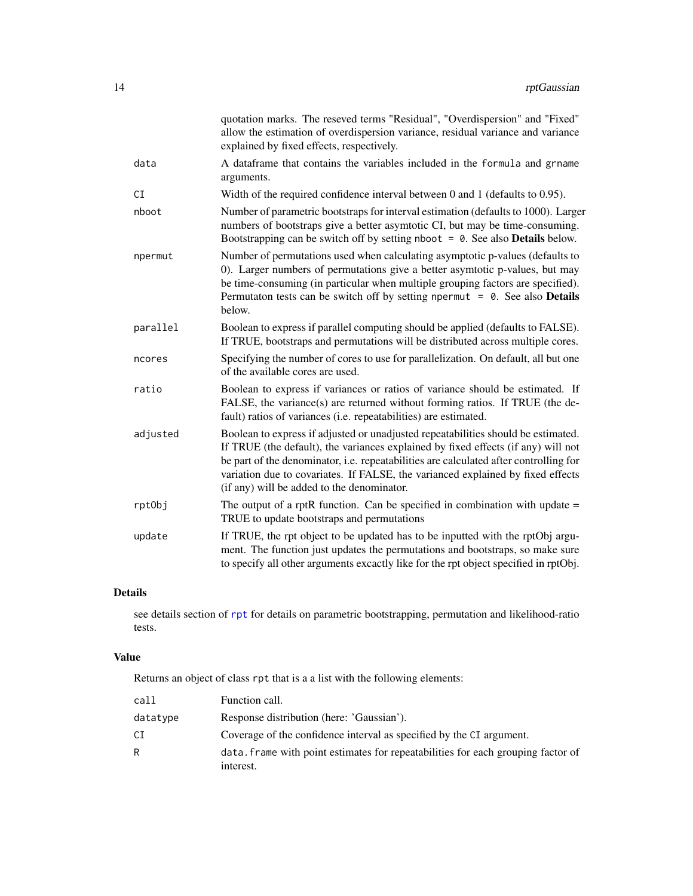<span id="page-13-0"></span>

|          | quotation marks. The reseved terms "Residual", "Overdispersion" and "Fixed"<br>allow the estimation of overdispersion variance, residual variance and variance<br>explained by fixed effects, respectively.                                                                                                                                                                                      |
|----------|--------------------------------------------------------------------------------------------------------------------------------------------------------------------------------------------------------------------------------------------------------------------------------------------------------------------------------------------------------------------------------------------------|
| data     | A dataframe that contains the variables included in the formula and grname<br>arguments.                                                                                                                                                                                                                                                                                                         |
| CI       | Width of the required confidence interval between $0$ and $1$ (defaults to $0.95$ ).                                                                                                                                                                                                                                                                                                             |
| nboot    | Number of parametric bootstraps for interval estimation (defaults to 1000). Larger<br>numbers of bootstraps give a better asymtotic CI, but may be time-consuming.<br>Bootstrapping can be switch off by setting nboot $= 0$ . See also <b>Details</b> below.                                                                                                                                    |
| npermut  | Number of permutations used when calculating asymptotic p-values (defaults to<br>0). Larger numbers of permutations give a better asymtotic p-values, but may<br>be time-consuming (in particular when multiple grouping factors are specified).<br>Permutaton tests can be switch off by setting npermut = $0$ . See also <b>Details</b><br>below.                                              |
| parallel | Boolean to express if parallel computing should be applied (defaults to FALSE).<br>If TRUE, bootstraps and permutations will be distributed across multiple cores.                                                                                                                                                                                                                               |
| ncores   | Specifying the number of cores to use for parallelization. On default, all but one<br>of the available cores are used.                                                                                                                                                                                                                                                                           |
| ratio    | Boolean to express if variances or ratios of variance should be estimated. If<br>FALSE, the variance(s) are returned without forming ratios. If TRUE (the de-<br>fault) ratios of variances (i.e. repeatabilities) are estimated.                                                                                                                                                                |
| adjusted | Boolean to express if adjusted or unadjusted repeatabilities should be estimated.<br>If TRUE (the default), the variances explained by fixed effects (if any) will not<br>be part of the denominator, i.e. repeatabilities are calculated after controlling for<br>variation due to covariates. If FALSE, the varianced explained by fixed effects<br>(if any) will be added to the denominator. |
| rptObj   | The output of a rptR function. Can be specified in combination with update $=$<br>TRUE to update bootstraps and permutations                                                                                                                                                                                                                                                                     |
| update   | If TRUE, the rpt object to be updated has to be inputted with the rptObj argu-<br>ment. The function just updates the permutations and bootstraps, so make sure<br>to specify all other arguments excactly like for the rpt object specified in rptObj.                                                                                                                                          |

# Details

see details section of [rpt](#page-5-1) for details on parametric bootstrapping, permutation and likelihood-ratio tests.

# Value

Returns an object of class rpt that is a a list with the following elements:

| call     | Function call.                                                                                |
|----------|-----------------------------------------------------------------------------------------------|
| datatype | Response distribution (here: 'Gaussian').                                                     |
| СI       | Coverage of the confidence interval as specified by the CI argument.                          |
| R        | data, frame with point estimates for repeatabilities for each grouping factor of<br>interest. |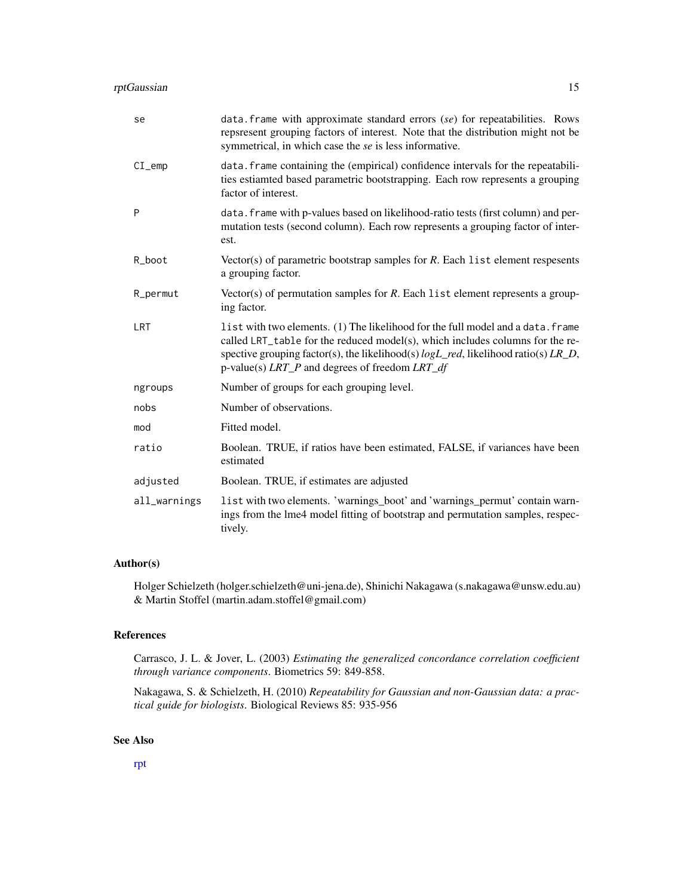<span id="page-14-0"></span>

| se           | data. Frame with approximate standard errors $(se)$ for repeatabilities. Rows<br>repsresent grouping factors of interest. Note that the distribution might not be<br>symmetrical, in which case the se is less informative.                                                                                               |  |
|--------------|---------------------------------------------------------------------------------------------------------------------------------------------------------------------------------------------------------------------------------------------------------------------------------------------------------------------------|--|
| $CI$ emp     | data. frame containing the (empirical) confidence intervals for the repeatabili-<br>ties estiamted based parametric bootstrapping. Each row represents a grouping<br>factor of interest.                                                                                                                                  |  |
| P            | data. frame with p-values based on likelihood-ratio tests (first column) and per-<br>mutation tests (second column). Each row represents a grouping factor of inter-<br>est.                                                                                                                                              |  |
| R_boot       | Vector(s) of parametric bootstrap samples for $R$ . Each list element respesents<br>a grouping factor.                                                                                                                                                                                                                    |  |
| R_permut     | Vector(s) of permutation samples for $R$ . Each list element represents a group-<br>ing factor.                                                                                                                                                                                                                           |  |
| LRT          | list with two elements. (1) The likelihood for the full model and a data. frame<br>called LRT_table for the reduced model(s), which includes columns for the re-<br>spective grouping factor(s), the likelihood(s) $logL_{red}$ , likelihood ratio(s) $LR_{pl}$ ,<br>p-value(s) $LRT\_P$ and degrees of freedom $LRT\_df$ |  |
| ngroups      | Number of groups for each grouping level.                                                                                                                                                                                                                                                                                 |  |
| nobs         | Number of observations.                                                                                                                                                                                                                                                                                                   |  |
| mod          | Fitted model.                                                                                                                                                                                                                                                                                                             |  |
| ratio        | Boolean. TRUE, if ratios have been estimated, FALSE, if variances have been<br>estimated                                                                                                                                                                                                                                  |  |
| adjusted     | Boolean. TRUE, if estimates are adjusted                                                                                                                                                                                                                                                                                  |  |
| all_warnings | list with two elements. 'warnings_boot' and 'warnings_permut' contain warn-<br>ings from the lme4 model fitting of bootstrap and permutation samples, respec-<br>tively.                                                                                                                                                  |  |

# Author(s)

Holger Schielzeth (holger.schielzeth@uni-jena.de), Shinichi Nakagawa (s.nakagawa@unsw.edu.au) & Martin Stoffel (martin.adam.stoffel@gmail.com)

#### References

Carrasco, J. L. & Jover, L. (2003) *Estimating the generalized concordance correlation coefficient through variance components*. Biometrics 59: 849-858.

Nakagawa, S. & Schielzeth, H. (2010) *Repeatability for Gaussian and non-Gaussian data: a practical guide for biologists*. Biological Reviews 85: 935-956

# See Also

[rpt](#page-5-1)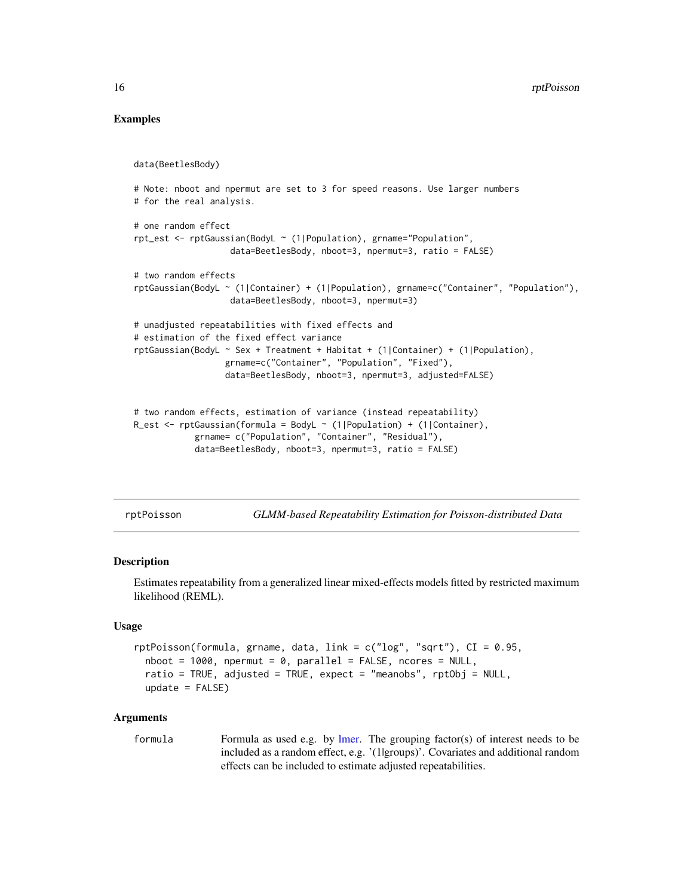### Examples

```
data(BeetlesBody)
# Note: nboot and npermut are set to 3 for speed reasons. Use larger numbers
# for the real analysis.
# one random effect
rpt_est <- rptGaussian(BodyL ~ (1|Population), grname="Population",
                  data=BeetlesBody, nboot=3, npermut=3, ratio = FALSE)
# two random effects
rptGaussian(BodyL ~ (1|Container) + (1|Population), grname=c("Container", "Population"),
                  data=BeetlesBody, nboot=3, npermut=3)
# unadjusted repeatabilities with fixed effects and
# estimation of the fixed effect variance
rptGaussian(BodyL ~ Sex + Treatment + Habitat + (1|Container) + (1|Population),
                  grname=c("Container", "Population", "Fixed"),
                  data=BeetlesBody, nboot=3, npermut=3, adjusted=FALSE)
# two random effects, estimation of variance (instead repeatability)
R_est <- rptGaussian(formula = BodyL ~ (1|Population) + (1|Container),
            grname= c("Population", "Container", "Residual"),
            data=BeetlesBody, nboot=3, npermut=3, ratio = FALSE)
```
<span id="page-15-1"></span>rptPoisson *GLMM-based Repeatability Estimation for Poisson-distributed Data*

#### **Description**

Estimates repeatability from a generalized linear mixed-effects models fitted by restricted maximum likelihood (REML).

#### Usage

```
rptPoisson(formula, grname, data, link = c("log", "sqrt"), CI = 0.95,
 nboot = 1000, npermut = 0, parallel = FALSE, ncores = NULL,
 ratio = TRUE, adjusted = TRUE, expect = "meanobs", rptObj = NULL,
 update = FALSE)
```

```
formula Formula as used e.g. by lmer. The grouping factor(s) of interest needs to be
                  included as a random effect, e.g. '(1|groups)'. Covariates and additional random
                  effects can be included to estimate adjusted repeatabilities.
```
<span id="page-15-0"></span>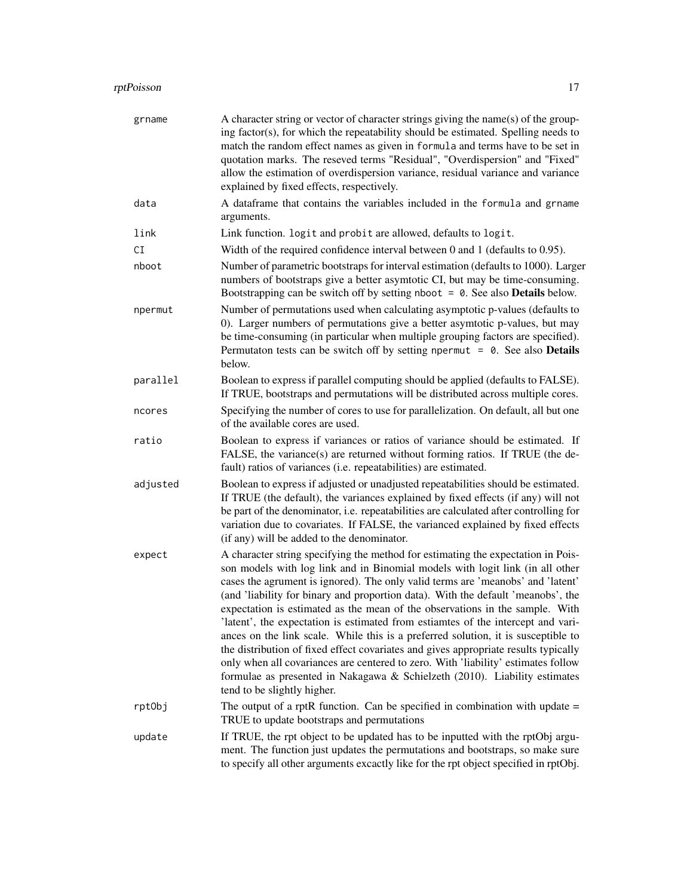# rptPoisson 17

| grname   | A character string or vector of character strings giving the name(s) of the group-<br>ing factor(s), for which the repeatability should be estimated. Spelling needs to<br>match the random effect names as given in formula and terms have to be set in<br>quotation marks. The reseved terms "Residual", "Overdispersion" and "Fixed"<br>allow the estimation of overdispersion variance, residual variance and variance<br>explained by fixed effects, respectively.                                                                                                                                                                                                                                                                                                                                                                                                                    |  |
|----------|--------------------------------------------------------------------------------------------------------------------------------------------------------------------------------------------------------------------------------------------------------------------------------------------------------------------------------------------------------------------------------------------------------------------------------------------------------------------------------------------------------------------------------------------------------------------------------------------------------------------------------------------------------------------------------------------------------------------------------------------------------------------------------------------------------------------------------------------------------------------------------------------|--|
| data     | A dataframe that contains the variables included in the formula and grname<br>arguments.                                                                                                                                                                                                                                                                                                                                                                                                                                                                                                                                                                                                                                                                                                                                                                                                   |  |
| link     | Link function. logit and probit are allowed, defaults to logit.                                                                                                                                                                                                                                                                                                                                                                                                                                                                                                                                                                                                                                                                                                                                                                                                                            |  |
| СI       | Width of the required confidence interval between $0$ and $1$ (defaults to $0.95$ ).                                                                                                                                                                                                                                                                                                                                                                                                                                                                                                                                                                                                                                                                                                                                                                                                       |  |
| nboot    | Number of parametric bootstraps for interval estimation (defaults to 1000). Larger<br>numbers of bootstraps give a better asymtotic CI, but may be time-consuming.<br>Bootstrapping can be switch off by setting nboot $= 0$ . See also <b>Details</b> below.                                                                                                                                                                                                                                                                                                                                                                                                                                                                                                                                                                                                                              |  |
| npermut  | Number of permutations used when calculating asymptotic p-values (defaults to<br>0). Larger numbers of permutations give a better asymtotic p-values, but may<br>be time-consuming (in particular when multiple grouping factors are specified).<br>Permutaton tests can be switch off by setting npermut = $0$ . See also <b>Details</b><br>below.                                                                                                                                                                                                                                                                                                                                                                                                                                                                                                                                        |  |
| parallel | Boolean to express if parallel computing should be applied (defaults to FALSE).<br>If TRUE, bootstraps and permutations will be distributed across multiple cores.                                                                                                                                                                                                                                                                                                                                                                                                                                                                                                                                                                                                                                                                                                                         |  |
| ncores   | Specifying the number of cores to use for parallelization. On default, all but one<br>of the available cores are used.                                                                                                                                                                                                                                                                                                                                                                                                                                                                                                                                                                                                                                                                                                                                                                     |  |
| ratio    | Boolean to express if variances or ratios of variance should be estimated. If<br>FALSE, the variance(s) are returned without forming ratios. If TRUE (the de-<br>fault) ratios of variances (i.e. repeatabilities) are estimated.                                                                                                                                                                                                                                                                                                                                                                                                                                                                                                                                                                                                                                                          |  |
| adjusted | Boolean to express if adjusted or unadjusted repeatabilities should be estimated.<br>If TRUE (the default), the variances explained by fixed effects (if any) will not<br>be part of the denominator, i.e. repeatabilities are calculated after controlling for<br>variation due to covariates. If FALSE, the varianced explained by fixed effects<br>(if any) will be added to the denominator.                                                                                                                                                                                                                                                                                                                                                                                                                                                                                           |  |
| expect   | A character string specifying the method for estimating the expectation in Pois-<br>son models with log link and in Binomial models with logit link (in all other<br>cases the agrument is ignored). The only valid terms are 'meanobs' and 'latent'<br>(and 'liability for binary and proportion data). With the default 'meanobs', the<br>expectation is estimated as the mean of the observations in the sample. With<br>'latent', the expectation is estimated from estiamtes of the intercept and vari-<br>ances on the link scale. While this is a preferred solution, it is susceptible to<br>the distribution of fixed effect covariates and gives appropriate results typically<br>only when all covariances are centered to zero. With 'liability' estimates follow<br>formulae as presented in Nakagawa & Schielzeth (2010). Liability estimates<br>tend to be slightly higher. |  |
| rptObj   | The output of a rptR function. Can be specified in combination with update $=$<br>TRUE to update bootstraps and permutations                                                                                                                                                                                                                                                                                                                                                                                                                                                                                                                                                                                                                                                                                                                                                               |  |
| update   | If TRUE, the rpt object to be updated has to be inputted with the rptObj argu-<br>ment. The function just updates the permutations and bootstraps, so make sure<br>to specify all other arguments excactly like for the rpt object specified in rptObj.                                                                                                                                                                                                                                                                                                                                                                                                                                                                                                                                                                                                                                    |  |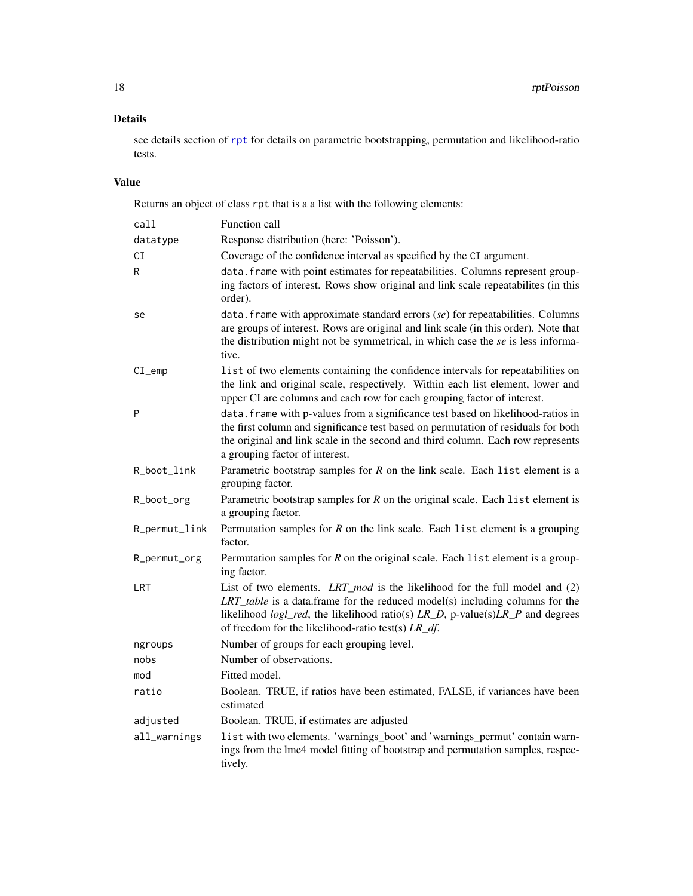# Details

see details section of [rpt](#page-5-1) for details on parametric bootstrapping, permutation and likelihood-ratio tests.

# Value

Returns an object of class rpt that is a a list with the following elements:

| call          | Function call                                                                                                                                                                                                                                                                                                       |  |
|---------------|---------------------------------------------------------------------------------------------------------------------------------------------------------------------------------------------------------------------------------------------------------------------------------------------------------------------|--|
| datatype      | Response distribution (here: 'Poisson').                                                                                                                                                                                                                                                                            |  |
| СI            | Coverage of the confidence interval as specified by the CI argument.                                                                                                                                                                                                                                                |  |
| R             | data. frame with point estimates for repeatabilities. Columns represent group-<br>ing factors of interest. Rows show original and link scale repeatabilites (in this<br>order).                                                                                                                                     |  |
| se            | $data.$ frame with approximate standard errors $(se)$ for repeatabilities. Columns<br>are groups of interest. Rows are original and link scale (in this order). Note that<br>the distribution might not be symmetrical, in which case the se is less informa-<br>tive.                                              |  |
| $CI$ _emp     | list of two elements containing the confidence intervals for repeatabilities on<br>the link and original scale, respectively. Within each list element, lower and<br>upper CI are columns and each row for each grouping factor of interest.                                                                        |  |
| P             | data. frame with p-values from a significance test based on likelihood-ratios in<br>the first column and significance test based on permutation of residuals for both<br>the original and link scale in the second and third column. Each row represents<br>a grouping factor of interest.                          |  |
| R_boot_link   | Parametric bootstrap samples for $R$ on the link scale. Each list element is a<br>grouping factor.                                                                                                                                                                                                                  |  |
| R_boot_org    | Parametric bootstrap samples for $R$ on the original scale. Each list element is<br>a grouping factor.                                                                                                                                                                                                              |  |
| R_permut_link | Permutation samples for $R$ on the link scale. Each list element is a grouping<br>factor.                                                                                                                                                                                                                           |  |
| R_permut_org  | Permutation samples for $R$ on the original scale. Each list element is a group-<br>ing factor.                                                                                                                                                                                                                     |  |
| LRT           | List of two elements. LRT_mod is the likelihood for the full model and (2)<br>$LRT\_table$ is a data.frame for the reduced model(s) including columns for the<br>likelihood $logl\_red$ , the likelihood ratio(s) $LR\_D$ , p-value(s) $LR\_P$ and degrees<br>of freedom for the likelihood-ratio test(s) $LR_df$ . |  |
| ngroups       | Number of groups for each grouping level.                                                                                                                                                                                                                                                                           |  |
| nobs          | Number of observations.                                                                                                                                                                                                                                                                                             |  |
| mod           | Fitted model.                                                                                                                                                                                                                                                                                                       |  |
| ratio         | Boolean. TRUE, if ratios have been estimated, FALSE, if variances have been<br>estimated                                                                                                                                                                                                                            |  |
| adjusted      | Boolean. TRUE, if estimates are adjusted                                                                                                                                                                                                                                                                            |  |
| all_warnings  | list with two elements. 'warnings_boot' and 'warnings_permut' contain warn-<br>ings from the lme4 model fitting of bootstrap and permutation samples, respec-<br>tively.                                                                                                                                            |  |

<span id="page-17-0"></span>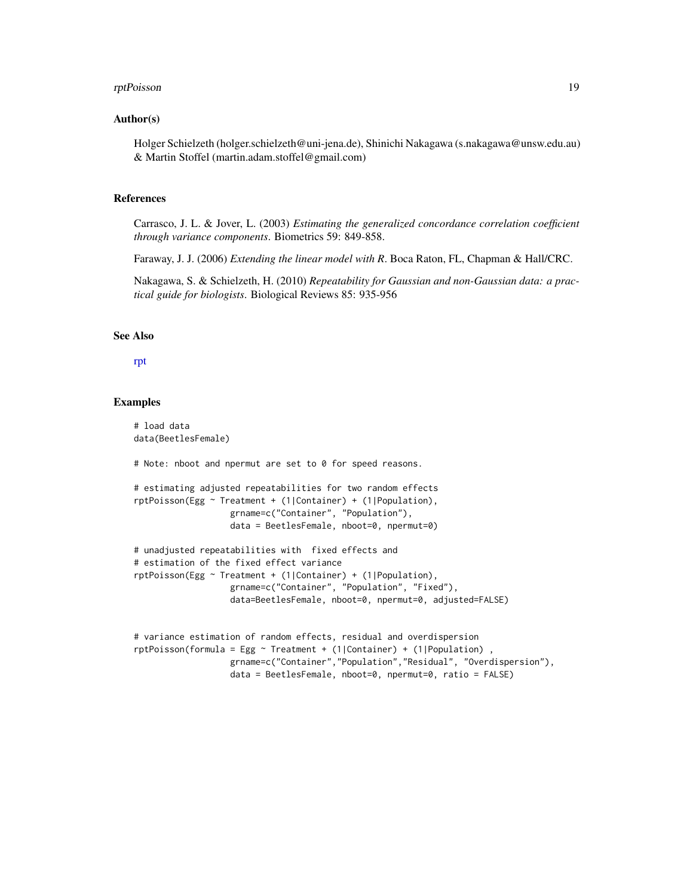#### <span id="page-18-0"></span>rptPoisson and the contract of the contract of the contract of the contract of the contract of the contract of the contract of the contract of the contract of the contract of the contract of the contract of the contract of

#### Author(s)

Holger Schielzeth (holger.schielzeth@uni-jena.de), Shinichi Nakagawa (s.nakagawa@unsw.edu.au) & Martin Stoffel (martin.adam.stoffel@gmail.com)

### References

Carrasco, J. L. & Jover, L. (2003) *Estimating the generalized concordance correlation coefficient through variance components*. Biometrics 59: 849-858.

Faraway, J. J. (2006) *Extending the linear model with R*. Boca Raton, FL, Chapman & Hall/CRC.

Nakagawa, S. & Schielzeth, H. (2010) *Repeatability for Gaussian and non-Gaussian data: a practical guide for biologists*. Biological Reviews 85: 935-956

# See Also

#### [rpt](#page-5-1)

#### Examples

```
# load data
data(BeetlesFemale)
# Note: nboot and npermut are set to 0 for speed reasons.
# estimating adjusted repeatabilities for two random effects
rptPoisson(Egg ~ Treatment + (1|Container) + (1|Population),
                   grname=c("Container", "Population"),
                   data = BeetlesFemale, nboot=0, npermut=0)
# unadjusted repeatabilities with fixed effects and
# estimation of the fixed effect variance
rptPoisson(Egg ~ Treatment + (1|Container) + (1|Population),
                   grname=c("Container", "Population", "Fixed"),
                   data=BeetlesFemale, nboot=0, npermut=0, adjusted=FALSE)
# variance estimation of random effects, residual and overdispersion
rptPoisson(formula = Egg ~ Treatment + (1|Container) + (1|Population),
                   grname=c("Container","Population","Residual", "Overdispersion"),
                   data = BeetlesFemale, nboot=0, npermut=0, ratio = FALSE)
```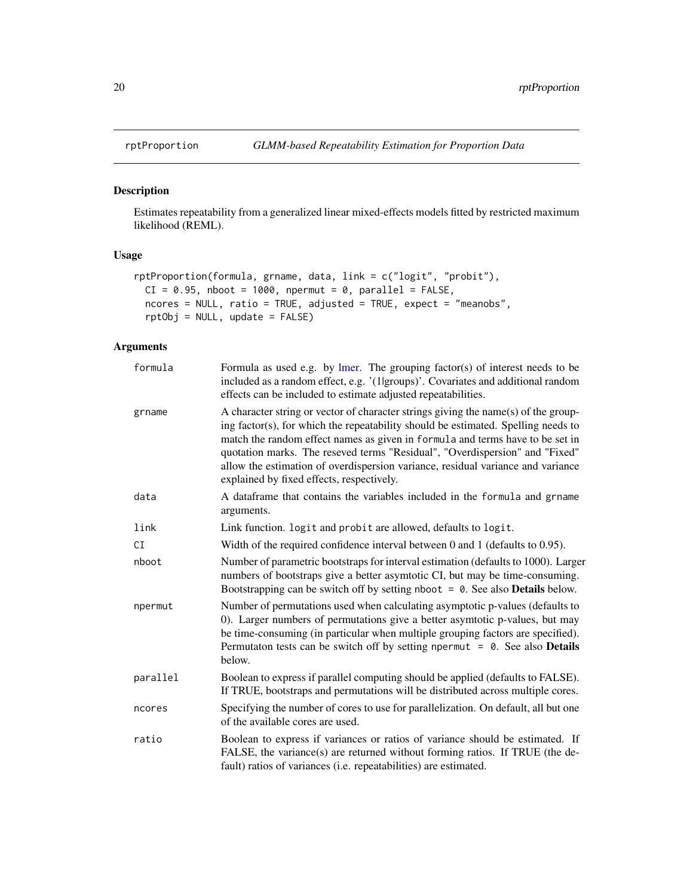<span id="page-19-1"></span><span id="page-19-0"></span>

### Description

Estimates repeatability from a generalized linear mixed-effects models fitted by restricted maximum likelihood (REML).

# Usage

```
rptProportion(formula, grname, data, link = c("logit", "probit"),
 CI = 0.95, nboot = 1000, npermut = 0, parallel = FALSE,
 ncores = NULL, ratio = TRUE, adjusted = TRUE, expect = "meanobs",
 rptObj = NULL, update = FALSE)
```

| formula  | Formula as used e.g. by $l$ mer. The grouping factor(s) of interest needs to be<br>included as a random effect, e.g. '(1 groups)'. Covariates and additional random<br>effects can be included to estimate adjusted repeatabilities.                                                                                                                                                                                                                                    |  |
|----------|-------------------------------------------------------------------------------------------------------------------------------------------------------------------------------------------------------------------------------------------------------------------------------------------------------------------------------------------------------------------------------------------------------------------------------------------------------------------------|--|
| grname   | A character string or vector of character strings giving the name(s) of the group-<br>ing factor(s), for which the repeatability should be estimated. Spelling needs to<br>match the random effect names as given in formula and terms have to be set in<br>quotation marks. The reseved terms "Residual", "Overdispersion" and "Fixed"<br>allow the estimation of overdispersion variance, residual variance and variance<br>explained by fixed effects, respectively. |  |
| data     | A dataframe that contains the variables included in the formula and grname<br>arguments.                                                                                                                                                                                                                                                                                                                                                                                |  |
| link     | Link function. logit and probit are allowed, defaults to logit.                                                                                                                                                                                                                                                                                                                                                                                                         |  |
| CI       | Width of the required confidence interval between 0 and 1 (defaults to 0.95).                                                                                                                                                                                                                                                                                                                                                                                           |  |
| nboot    | Number of parametric bootstraps for interval estimation (defaults to 1000). Larger<br>numbers of bootstraps give a better asymtotic CI, but may be time-consuming.<br>Bootstrapping can be switch off by setting nboot $= 0$ . See also <b>Details</b> below.                                                                                                                                                                                                           |  |
| npermut  | Number of permutations used when calculating asymptotic p-values (defaults to<br>0). Larger numbers of permutations give a better asymtotic p-values, but may<br>be time-consuming (in particular when multiple grouping factors are specified).<br>Permutaton tests can be switch off by setting npermut = $\theta$ . See also <b>Details</b><br>below.                                                                                                                |  |
| parallel | Boolean to express if parallel computing should be applied (defaults to FALSE).<br>If TRUE, bootstraps and permutations will be distributed across multiple cores.                                                                                                                                                                                                                                                                                                      |  |
| ncores   | Specifying the number of cores to use for parallelization. On default, all but one<br>of the available cores are used.                                                                                                                                                                                                                                                                                                                                                  |  |
| ratio    | Boolean to express if variances or ratios of variance should be estimated. If<br>FALSE, the variance(s) are returned without forming ratios. If TRUE (the de-<br>fault) ratios of variances (i.e. repeatabilities) are estimated.                                                                                                                                                                                                                                       |  |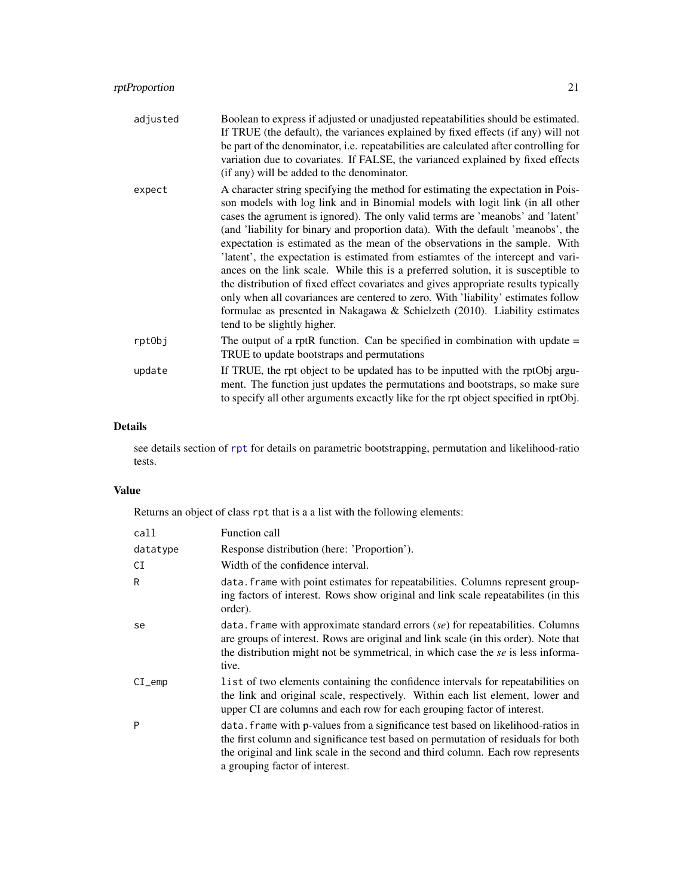<span id="page-20-0"></span>

| adjusted | Boolean to express if adjusted or unadjusted repeatabilities should be estimated.<br>If TRUE (the default), the variances explained by fixed effects (if any) will not<br>be part of the denominator, i.e. repeatabilities are calculated after controlling for<br>variation due to covariates. If FALSE, the varianced explained by fixed effects<br>(if any) will be added to the denominator.                                                                                                                                                                                                                                                                                                                                                                                                                                                                                         |
|----------|------------------------------------------------------------------------------------------------------------------------------------------------------------------------------------------------------------------------------------------------------------------------------------------------------------------------------------------------------------------------------------------------------------------------------------------------------------------------------------------------------------------------------------------------------------------------------------------------------------------------------------------------------------------------------------------------------------------------------------------------------------------------------------------------------------------------------------------------------------------------------------------|
| expect   | A character string specifying the method for estimating the expectation in Pois-<br>son models with log link and in Binomial models with logit link (in all other<br>cases the agrument is ignored). The only valid terms are 'meanobs' and 'latent'<br>(and 'liability for binary and proportion data). With the default 'meanobs', the<br>expectation is estimated as the mean of the observations in the sample. With<br>latent, the expectation is estimated from estiamtes of the intercept and vari-<br>ances on the link scale. While this is a preferred solution, it is susceptible to<br>the distribution of fixed effect covariates and gives appropriate results typically<br>only when all covariances are centered to zero. With 'liability' estimates follow<br>formulae as presented in Nakagawa & Schielzeth (2010). Liability estimates<br>tend to be slightly higher. |
| rptObj   | The output of a rptR function. Can be specified in combination with update $=$<br>TRUE to update bootstraps and permutations                                                                                                                                                                                                                                                                                                                                                                                                                                                                                                                                                                                                                                                                                                                                                             |
| update   | If TRUE, the rpt object to be updated has to be inputted with the rptObj argu-<br>ment. The function just updates the permutations and bootstraps, so make sure<br>to specify all other arguments excactly like for the rpt object specified in rptObj.                                                                                                                                                                                                                                                                                                                                                                                                                                                                                                                                                                                                                                  |

# Details

see details section of [rpt](#page-5-1) for details on parametric bootstrapping, permutation and likelihood-ratio tests.

# Value

Returns an object of class rpt that is a a list with the following elements:

| call     | Function call                                                                                                                                                                                                                                                                              |
|----------|--------------------------------------------------------------------------------------------------------------------------------------------------------------------------------------------------------------------------------------------------------------------------------------------|
| datatype | Response distribution (here: 'Proportion').                                                                                                                                                                                                                                                |
| СI       | Width of the confidence interval.                                                                                                                                                                                                                                                          |
| R        | data. frame with point estimates for repeatabilities. Columns represent group-<br>ing factors of interest. Rows show original and link scale repeatabilities (in this<br>order).                                                                                                           |
| se       | data. Frame with approximate standard errors $(se)$ for repeatabilities. Columns<br>are groups of interest. Rows are original and link scale (in this order). Note that<br>the distribution might not be symmetrical, in which case the se is less informa-<br>tive.                       |
| $CI$ emp | l ist of two elements containing the confidence intervals for repeatabilities on<br>the link and original scale, respectively. Within each list element, lower and<br>upper CI are columns and each row for each grouping factor of interest.                                              |
| P        | data. frame with p-values from a significance test based on likelihood-ratios in<br>the first column and significance test based on permutation of residuals for both<br>the original and link scale in the second and third column. Each row represents<br>a grouping factor of interest. |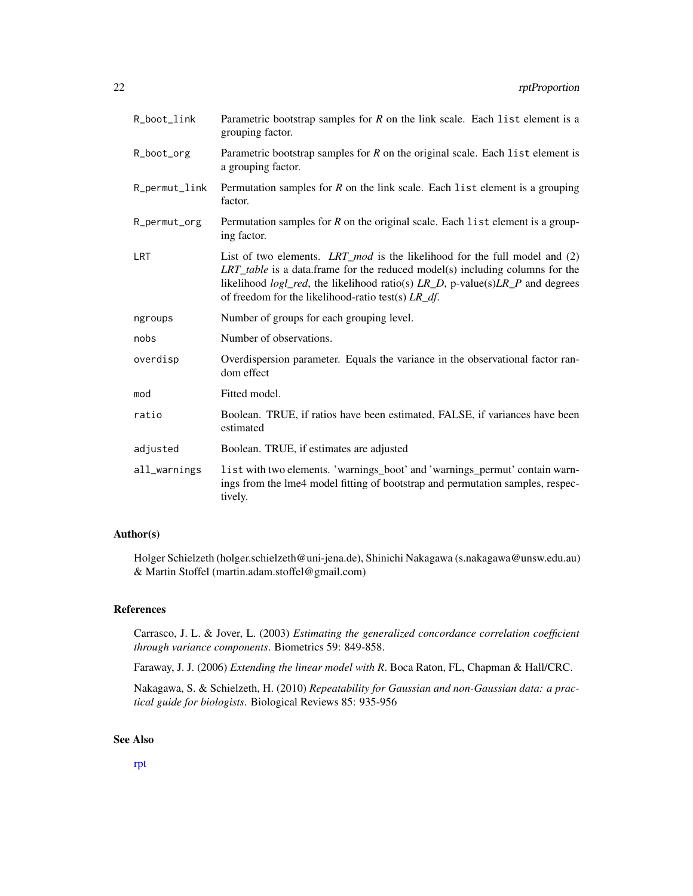| R_boot_link   | Parametric bootstrap samples for $R$ on the link scale. Each list element is a<br>grouping factor.                                                                                                                                                                                                                     |
|---------------|------------------------------------------------------------------------------------------------------------------------------------------------------------------------------------------------------------------------------------------------------------------------------------------------------------------------|
| R_boot_org    | Parametric bootstrap samples for $R$ on the original scale. Each list element is<br>a grouping factor.                                                                                                                                                                                                                 |
| R_permut_link | Permutation samples for $R$ on the link scale. Each list element is a grouping<br>factor.                                                                                                                                                                                                                              |
| R_permut_org  | Permutation samples for $R$ on the original scale. Each list element is a group-<br>ing factor.                                                                                                                                                                                                                        |
| <b>LRT</b>    | List of two elements. LRT_mod is the likelihood for the full model and $(2)$<br>$LRT\_table$ is a data.frame for the reduced model(s) including columns for the<br>likelihood $logl\_red$ , the likelihood ratio(s) $LR\_D$ , p-value(s) $LR\_P$ and degrees<br>of freedom for the likelihood-ratio test(s) $LR_d f$ . |
| ngroups       | Number of groups for each grouping level.                                                                                                                                                                                                                                                                              |
|               |                                                                                                                                                                                                                                                                                                                        |
| nobs          | Number of observations.                                                                                                                                                                                                                                                                                                |
| overdisp      | Overdispersion parameter. Equals the variance in the observational factor ran-<br>dom effect                                                                                                                                                                                                                           |
| mod           | Fitted model.                                                                                                                                                                                                                                                                                                          |
| ratio         | Boolean. TRUE, if ratios have been estimated, FALSE, if variances have been<br>estimated                                                                                                                                                                                                                               |
| adjusted      | Boolean. TRUE, if estimates are adjusted                                                                                                                                                                                                                                                                               |

# Author(s)

Holger Schielzeth (holger.schielzeth@uni-jena.de), Shinichi Nakagawa (s.nakagawa@unsw.edu.au) & Martin Stoffel (martin.adam.stoffel@gmail.com)

# References

Carrasco, J. L. & Jover, L. (2003) *Estimating the generalized concordance correlation coefficient through variance components*. Biometrics 59: 849-858.

Faraway, J. J. (2006) *Extending the linear model with R*. Boca Raton, FL, Chapman & Hall/CRC.

Nakagawa, S. & Schielzeth, H. (2010) *Repeatability for Gaussian and non-Gaussian data: a practical guide for biologists*. Biological Reviews 85: 935-956

# See Also

[rpt](#page-5-1)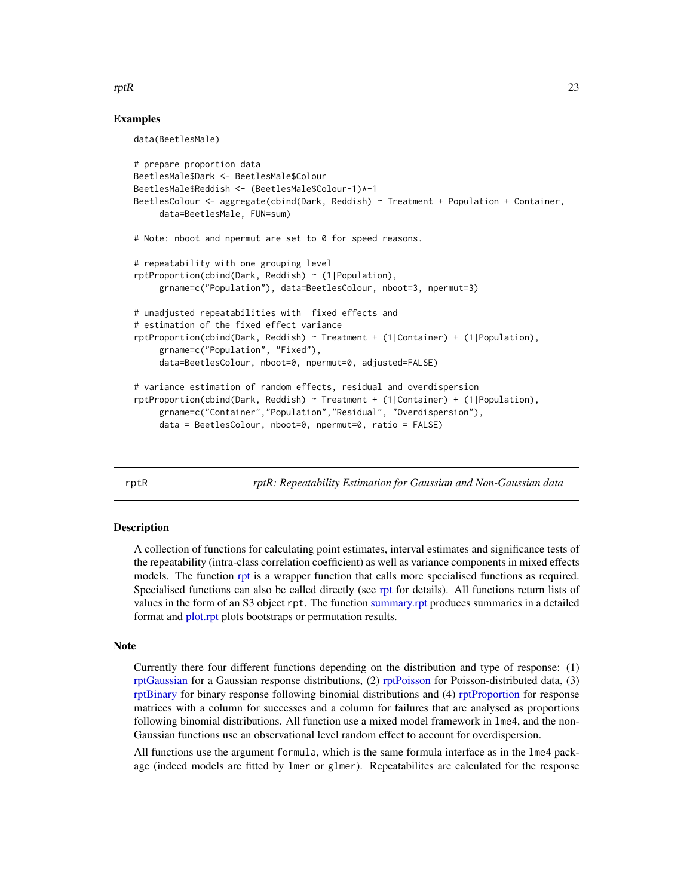#### <span id="page-22-0"></span> $rptR$  23

#### Examples

data(BeetlesMale)

```
# prepare proportion data
BeetlesMale$Dark <- BeetlesMale$Colour
BeetlesMale$Reddish <- (BeetlesMale$Colour-1)*-1
BeetlesColour <- aggregate(cbind(Dark, Reddish) ~ Treatment + Population + Container,
     data=BeetlesMale, FUN=sum)
# Note: nboot and npermut are set to 0 for speed reasons.
# repeatability with one grouping level
rptProportion(cbind(Dark, Reddish) ~ (1|Population),
     grname=c("Population"), data=BeetlesColour, nboot=3, npermut=3)
# unadjusted repeatabilities with fixed effects and
# estimation of the fixed effect variance
rptProportion(cbind(Dark, Reddish) ~ Treatment + (1|Container) + (1|Population),
     grname=c("Population", "Fixed"),
     data=BeetlesColour, nboot=0, npermut=0, adjusted=FALSE)
# variance estimation of random effects, residual and overdispersion
rptProportion(cbind(Dark, Reddish) ~ Treatment + (1|Container) + (1|Population),
     grname=c("Container","Population","Residual", "Overdispersion"),
     data = BeetlesColour, nboot=0, npermut=0, ratio = FALSE)
```
<span id="page-22-1"></span>rptR *rptR: Repeatability Estimation for Gaussian and Non-Gaussian data*

#### Description

A collection of functions for calculating point estimates, interval estimates and significance tests of the repeatability (intra-class correlation coefficient) as well as variance components in mixed effects models. The function [rpt](#page-5-1) is a wrapper function that calls more specialised functions as required. Specialised functions can also be called directly (see [rpt](#page-5-1) for details). All functions return lists of values in the form of an S3 object rpt. The function [summary.rpt](#page-23-1) produces summaries in a detailed format and [plot.rpt](#page-3-1) plots bootstraps or permutation results.

#### **Note**

Currently there four different functions depending on the distribution and type of response: (1) [rptGaussian](#page-12-1) for a Gaussian response distributions, (2) [rptPoisson](#page-15-1) for Poisson-distributed data, (3) [rptBinary](#page-9-1) for binary response following binomial distributions and (4) [rptProportion](#page-19-1) for response matrices with a column for successes and a column for failures that are analysed as proportions following binomial distributions. All function use a mixed model framework in lme4, and the non-Gaussian functions use an observational level random effect to account for overdispersion.

All functions use the argument formula, which is the same formula interface as in the lme4 package (indeed models are fitted by lmer or glmer). Repeatabilites are calculated for the response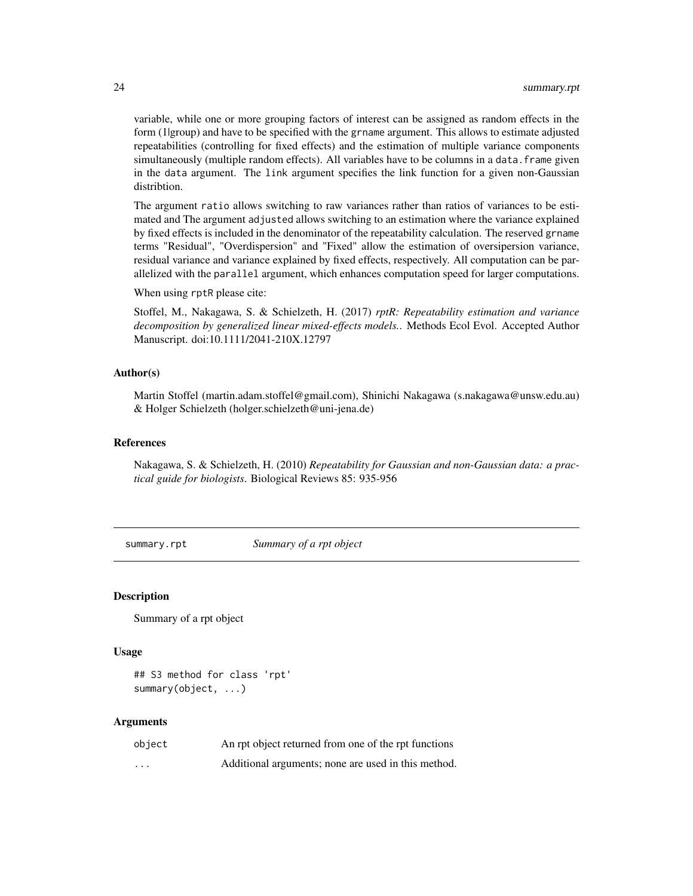variable, while one or more grouping factors of interest can be assigned as random effects in the form (1|group) and have to be specified with the grname argument. This allows to estimate adjusted repeatabilities (controlling for fixed effects) and the estimation of multiple variance components simultaneously (multiple random effects). All variables have to be columns in a data. frame given in the data argument. The link argument specifies the link function for a given non-Gaussian distribtion.

The argument ratio allows switching to raw variances rather than ratios of variances to be estimated and The argument adjusted allows switching to an estimation where the variance explained by fixed effects is included in the denominator of the repeatability calculation. The reserved grname terms "Residual", "Overdispersion" and "Fixed" allow the estimation of oversipersion variance, residual variance and variance explained by fixed effects, respectively. All computation can be parallelized with the parallel argument, which enhances computation speed for larger computations.

When using rptR please cite:

Stoffel, M., Nakagawa, S. & Schielzeth, H. (2017) *rptR: Repeatability estimation and variance decomposition by generalized linear mixed-effects models.*. Methods Ecol Evol. Accepted Author Manuscript. doi:10.1111/2041-210X.12797

#### Author(s)

Martin Stoffel (martin.adam.stoffel@gmail.com), Shinichi Nakagawa (s.nakagawa@unsw.edu.au) & Holger Schielzeth (holger.schielzeth@uni-jena.de)

### References

Nakagawa, S. & Schielzeth, H. (2010) *Repeatability for Gaussian and non-Gaussian data: a practical guide for biologists*. Biological Reviews 85: 935-956

<span id="page-23-1"></span>summary.rpt *Summary of a rpt object*

#### Description

Summary of a rpt object

#### Usage

```
## S3 method for class 'rpt'
summary(object, ...)
```

| object   | An rpt object returned from one of the rpt functions |
|----------|------------------------------------------------------|
| $\cdots$ | Additional arguments; none are used in this method.  |

<span id="page-23-0"></span>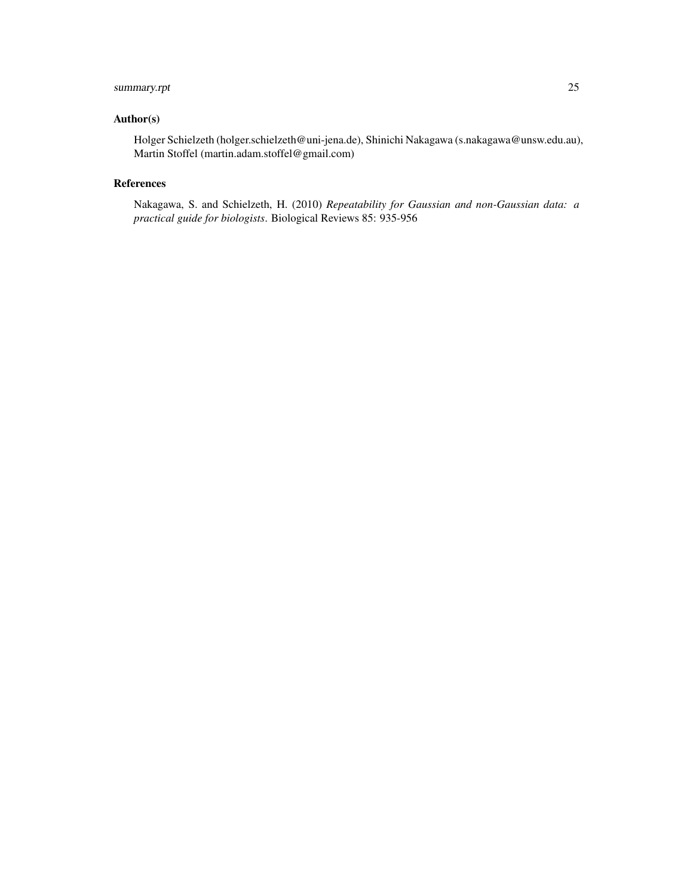# summary.rpt 25

# Author(s)

Holger Schielzeth (holger.schielzeth@uni-jena.de), Shinichi Nakagawa (s.nakagawa@unsw.edu.au), Martin Stoffel (martin.adam.stoffel@gmail.com)

# References

Nakagawa, S. and Schielzeth, H. (2010) *Repeatability for Gaussian and non-Gaussian data: a practical guide for biologists*. Biological Reviews 85: 935-956